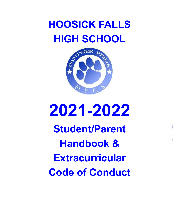



# **2021-2022**

**Student/Parent Handbook & Extracurricular Code of Conduct**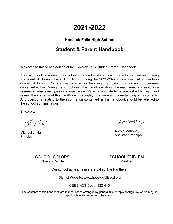## **2021-2022**

## **Hoosick Falls High School**

## **Student & Parent Handbook**

Welcome to this year's edition of the Hoosick Falls Student/Parent Handbook!

This handbook provides important information for students and parents that pertain to being a student at Hoosick Falls High School during the 2021-2022 school year. All students in grades 9 through 12 are responsible for knowing the rules, policies and procedures contained within. During the school year, this handbook should be maintained and used as a reference whenever questions may arise. Parents and students are asked to read and review the contents of this handbook thoroughly to ensure an understanding of its contents. Any questions relating to the information contained in this handbook should be referred to the school administration.

Sincerely,

Will I Hell

Michael J. Hall **Principal** 

picolemanony

Nicole Mahoney Assistant Principal

SCHOOL COLORS Blue and White

SCHOOL EMBLEM Panther

Our school athletic teams are called The Panthers.

District Website: [www.hoosickfallscsd.org](http://www.hoosickfallscsd.org)

CEEB-ACT Code: 332-445

The contents of this handbook are in most cases arranged by general title or topic, though key words may be applicable under other topic headings.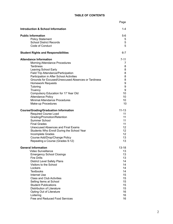#### **TABLE OF CONTENTS**

|                                                     | Page            |
|-----------------------------------------------------|-----------------|
| <b>Introduction &amp; School Information</b>        | $1 - 4$         |
| <b>Public Information</b>                           | $5-6$           |
| <b>Policy Statement</b>                             | 5               |
| <b>School District Records</b>                      | 5               |
| Code of Conduct                                     | 5               |
| <b>Student Rights and Responsibilities</b>          | $6 - 7$         |
| <b>Attendance Information</b>                       | $7 - 11$        |
| Morning Attendance Procedures                       | 7               |
| <b>Tardiness</b>                                    | 8               |
| Leaving School Early                                | 8               |
| Field Trip Attendance/Participation                 | 8               |
| Participation in After School Activities            | 8               |
| Grounds for Excused/Unexcused Absences or Tardiness | 8               |
| <b>Homework Requests</b>                            | 9               |
| Tutoring                                            | 9               |
| Truancy                                             | 9               |
| Compulsory Education for 17 Year Old                | 10              |
| <b>Attendance Policy</b>                            | 10 <sup>°</sup> |
| Minimal Attendance Procedures                       | 10              |
| Make-up Procedures                                  | 10              |
| <b>Course/Grading/Graduation Information</b>        | $11 - 13$       |
| Required Course Load                                | 11              |
| Grading/Promotion/Retention                         | 11              |
| Summer School                                       | 11              |
| <b>Final Grades</b>                                 | 11              |
| Unexcused Absences and Final Exams                  | 12              |
| Students Who Enroll During the School Year          | 12 <sub>2</sub> |
| Incomplete Grades                                   | 12 <sub>2</sub> |
| Course Add/Drop/Change Policy                       | 13              |
| Repeating a Course (Grades 9-12)                    | 13              |
| <b>General Information</b>                          | $13 - 18$       |
| Video Surveillance                                  | 13              |
| <b>Emergency School Closings</b>                    | 13              |
| <b>Fire Drills</b>                                  | 13              |
| <b>District Level Safety Plans</b>                  | 14              |
| Visitors to the School                              | 14              |
| Lockers                                             | 14              |
| <b>Textbooks</b>                                    | 14              |
| <b>Internet Use</b>                                 | 15              |
| <b>Class and Club Activities</b>                    | 15              |
| Selling Items at School                             | 15              |
| <b>Student Publications</b>                         | 15              |
| Distribution of Literature                          | 15              |
| Opting Out of Literature                            | 16              |
| Loitering                                           | 16              |
| Free and Reduced Food Services                      | 16              |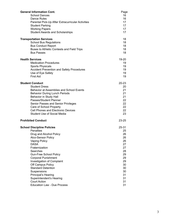| <b>General Information Cont.</b>                  | Page      |
|---------------------------------------------------|-----------|
| <b>School Dances</b>                              | 16        |
| Dance Rules                                       | 16        |
| Parental Pick-Up After Extracurricular Activities | 17        |
| <b>Student Parking</b>                            | 17        |
| <b>Working Papers</b>                             | 17        |
| <b>Student Awards and Scholarships</b>            | 17        |
| <b>Transportation Services</b>                    | 18        |
| <b>School Bus Regulations</b>                     | 18        |
| <b>Bus Conduct Report</b>                         | 18        |
| Buses to Athletic Contests and Field Trips        | 18        |
| <b>Bus Passes</b>                                 | 18        |
| <b>Health Services</b>                            | 19-20     |
| <b>Medication Procedures</b>                      | 19        |
| <b>Sports Physicals</b>                           | 19        |
| <b>Accident Prevention and Safety Procedures</b>  | 19        |
| Use of Eye Safety                                 | 19        |
| <b>First Aid</b>                                  | 19        |
| <b>Student Conduct</b>                            | $20 - 23$ |
| <b>Student Dress</b>                              | 20        |
| <b>Behavior at Assemblies and School Events</b>   | 21        |
| <b>Behavior During Lunch Periods</b>              | 21        |
| Behavior in Study Hall                            | 21        |
| Passes/Student Planner                            | 22        |
| Senior Passes and Senior Privileges               | 22        |
| Care of School Property                           | 22        |
| <b>Cell Phones and Electronic Devices</b>         | 22        |
| <b>Student Use of Social Media</b>                | 23        |
| <b>Prohibited Conduct</b>                         | $23 - 25$ |
|                                                   |           |
| <b>School Discipline Policies</b>                 | 25-31     |
| <b>Penalties</b>                                  | 25        |
| Drug and Alcohol Policy                           | 26        |
| <b>Alco-Sensor Policy</b>                         | 26        |
| <b>Vaping Policy</b>                              | 26        |
| <b>DASA</b>                                       | 27        |
| Fraternization                                    | 27        |
| Searches                                          | 28        |
| <b>Gun-Free School Policy</b>                     | 29        |
| <b>Corporal Punishment</b>                        | 29        |
| Investigation of Complaint                        | 29        |
| Off Campus Policy                                 | 30        |
| <b>Standard Detention</b>                         | 30        |
| Suspensions                                       | 30        |
| Principal's Hearing                               | 31        |
| Superintendent's Hearing                          | 31        |
| <b>Court Action</b>                               | 31        |
| <b>Education Law - Due Process</b>                | 31        |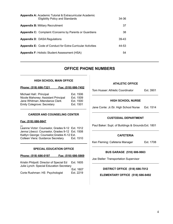| <b>Appendix A: Academic Tutorial &amp; Extracurricular Academic</b><br><b>Eligibility Policy and Standards</b> | 34-36   |
|----------------------------------------------------------------------------------------------------------------|---------|
| <b>Appendix B: Military Recruitment</b>                                                                        | 37      |
| <b>Appendix C:</b> Complaint / Concerns by Parents or Guardians                                                | 38      |
| <b>Appendix D: DASA Regulations</b>                                                                            | $39-43$ |
| <b>Appendix E: Code of Conduct for Extra-Curricular Activities</b>                                             | 44-53   |
| <b>Appendix F: Holistic Student Assessment (HSA)</b>                                                           | 54      |

## **OFFICE PHONE NUMBERS**

#### **HIGH SCHOOL MAIN OFFICE**

#### **Phone: (518) 686-7321 Fax: (518) 686-7452**

| Michael Hall:: Principal            | Ext. 1506 |
|-------------------------------------|-----------|
| Nicole Mahoney: Assistant Principal | Ext. 1509 |
| Jane Whitman: Attendance Clerk      | Ext. 1500 |
| <b>Emily Colegrove: Secretary</b>   | Ext. 1501 |
|                                     |           |

#### **CAREER AND COUNSELING CENTER**

#### **Fax: (518) 686-9847**

Leanne Victor: Counselor, Grades 9-12 Ext. 1512 Jenna Libecci: Counselor, Grades 9-12 Ext. 1508 Kaitlyn George: Counselor,Grades K-12 Ext. Colleen Viera: Guidance Secretary Ext. 1510

#### **SPECIAL EDUCATION OFFICE**

#### **Phone: (518) 686-0197 Fax: (518) 686-5869**

Kristin Philpott: Director of Special Ed Ext. 1605 Julie Lynch: Special Education Secretary Ext. 1607

Corie Rushman: HS Psychologist Ext. 2219

#### **ATHLETIC OFFICE**

Tom Husser: Athletic Coordinator Ext. 3901

#### **HIGH SCHOOL NURSE**

 $\mathcal{L}_\text{max}$  , and the contract of the contract of the contract of the contract of the contract of the contract of the contract of the contract of the contract of the contract of the contract of the contract of the contr

Jane Conte: Jr./Sr. High School Nurse Ext. 1514

#### **CUSTODIAL DEPARTMENT**

Paul Baker: Supt. of Buildings & Grounds Ext. 1801

#### **CAFETERIA**

Ken Fleming: Cafeteria Manager Ext. 1708

#### **BUS GARAGE (518) 686-9663**

Joe Steller: Transportation Supervisor

**DISTRICT OFFICE (518) 686-7012**

#### **ELEMENTARY OFFICE (518) 686-9492**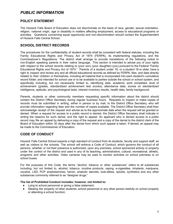## *PUBLIC INFORMATION*

#### **POLICY STATEMENT**

The Hoosick Falls Board of Education does not discriminate on the basis of race, gender, sexual orientation, religion, national origin, age or disability in matters affecting employment, access to educational programs or activities. Questions concerning equal opportunity and non-discrimination should contact the Superintendent of Hoosick Falls Central School.

#### **SCHOOL DISTRICT RECORDS**

The procedures for the confidentiality of student records shall be consistent with federal statutes, including the Family Educational Rights and Privacy Act of 1974 (FERPA), its implementing regulations, and the Commissioner's Regulations. The district shall arrange to provide translations of the following notice to non-English speaking parents in their native language. This section is intended to advise you of your rights with respect to the school records relating to (your son) (your daughter) (you) pursuant to the Federal "Family Educational Rights and Privacy Act of 1974." Parents of a student under 18, or a student 18 or older, have a right to inspect and review any and all official educational records as defined by FERPA, files, and data directly related to their children or themselves, including all material that is incorporated into each student's cumulative record folder, and intended for school use or to be available to parties outside the school or school system, and specifically including, but not necessarily limited to, identifying data, academic work completed, level of achievement (grades, standardized achievement test scores), attendance data, scores on standardized intelligence, aptitude, and psychological tests, interest inventory results, health data, family background.

Parents, students or other community members requesting specific information about the district should contact the District Office Secretary during regular business hours. Requests to inspect or make copies of records must be submitted in writing, either in person or by mail, to the District Office Secretary, who will provide information regarding fees and the number of copies available. The District Office Secretary shall then acknowledge receipt of the request and advise as to the approximate date when the request will be granted or denied. When a request for access to a public record is denied, the District Office Secretary shall indicate in writing the reasons for such denial, and the right to appeal. An applicant who is denied access to a public record may file an appeal by delivering a copy of the request and a copy of the denial to the district clerk of the Board of Education within 30 days after the denial from which such appeal is taken. If denied, an appeal may be made to the Commissioner of Education.

#### **CODE OF CONDUCT**

Hoosick Falls Central School expects a high standard of conduct from its students, faculty and support staff, as well as visitors to the schools. The school will enforce a Code of Conduct, which governs the conduct of all persons, whether or not their presence is authorized, upon any premises, school sponsored activity or property under the control of the district and used in any of its teaching, administrative, cultural, recreational, athletic, programs and other activities. Video cameras may be used to monitor activities on school premises or on school buses.

For the purposes of this Code, the terms "alcohol, tobacco or other substances" refers to all substances including, but not limited to, alcohol, tobacco, nicotine products, vaping, e-cigarettes, inhalants, marijuana, cocaine, LSD, PCP amphetamines, heroin, anabolic steroids, look-alikes, opioids, synthetics and any other substances commonly referred to as "designer drugs."

#### **The list of Prohibited Conduct includes; however, not limited to:**

- Lying to school personnel or giving a false statement;
- Stealing the property of other students, school personnel or any other person lawfully on school property or attending a school function;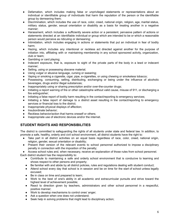- Defamation, which includes making false or unprivileged statements or representations about an individual or identifiable group of individuals that harm the reputation of the person or the identifiable group by demeaning them;
- Discrimination, which includes the use of race, color, creed, national origin, religion, age, marital status, military status, gender, sexual orientation or disability as a basis for treating another in a negative manner;
- Harassment, which includes a sufficiently severe action or a persistent, pervasive pattern of actions or statements directed at an identifiable individual or group which are intended to be or which a reasonable person would perceive as ridiculing or demeaning;
- Intimidation, which includes engaging in actions or statements that put an individual in fear of bodily harm;
- Hazing, which includes any intentional or reckless act directed against another for the purpose of initiation into, affiliating with or maintaining membership in any school sponsored activity, organization, club or team;
- Gambling or card playing;
- Indecent exposure, that is, exposure to sight of the private parts of the body in a lewd or indecent manner;
- Selling, using or possessing obscene material;
- Using vulgar or abusive language, cursing or swearing;
- Vaping or smoking a cigarette, cigar, pipe, e-cigarettes, or using chewing or smokeless tobacco;
- Possessing, consuming, selling, distributing, exchanging or being under the influence of alcoholic beverages, drugs and/or illegal substances;
- Inappropriately using or sharing prescription and/or over-the-counter drugs;
- Initiating a report warning of fire or other catastrophe without valid cause, misuse of 911, or discharging a fire extinguisher;
- Initiating a false report of bodily harm resulting in the contact/reporting to emergency services;
- Initiating a false report of damage to a district asset resulting in the contact/reporting to emergency services or financial loss to the district;
- Inappropriate physical displays of affection;
- Insubordinate behavior;
- Reckless behavior/action that harms oneself or others;
- Inappropriate use of electronic devices and/or the internet.

## **STUDENT RIGHTS AND RESPONSIBILITIES**

The district is committed to safeguarding the rights of all students under state and federal law. In addition, to promote a safe, healthy, orderly and civil school environment, all district students have the right to:

- Take part in all district activities on an equal basis regardless of race, color, creed, national origin, religion, gender, sexual orientation or disability;
- Present their version of the relevant events to school personnel authorized to impose a disciplinary penalty in connection with the imposition of the penalty;

● Access school rules and, when necessary, receive an explanation of those rules from school personnel. Each district student has the responsibility to:

- Contribute to maintaining a safe and orderly school environment that is conducive to learning and shows respect to other persons and property;
- Be familiar with and abide by all district policies, rules and regulations dealing with student conduct;
- Attend school every day that school is in session and be on time for the start of school unless legally excused;
- Be in class on time and prepared to learn;
- Work to the best of one's ability in all academic and extracurricular pursuits and strive toward the highest level of achievement possible;
- React to direction given by teachers, administrators and other school personnel in a respectful, positive manner;
- Work to develop mechanisms to control ones' anger;
- Ask a question when one does not understand;
- Seek help in solving problems that might lead to disciplinary action;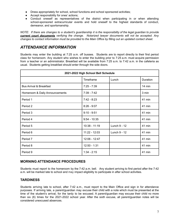- Dress appropriately for school, school functions and school sponsored activities;
- Accept responsibility for ones' actions;
- Conduct oneself as representatives of the district when participating in or when attending school-sponsored extracurricular events and hold oneself to the highest standards of conduct, demeanor, and sportsmanship.

NOTE: If there are changes to a student's guardianship it is the responsibility of the legal guardian to provide *current court documents verifying the change. Notarized lawyer documents will not be accepted. Any* changes to contact information must be provided to the Main Office by filling out an updated contact sheet.

## *ATTENDANCE INFORMATION*

Students may enter the building at 7:25 a.m. off busses. Students are to report directly to their first period class for homeroom. Any student who wishes to enter the building prior to 7:25 a.m. must acquire permission from a teacher or an administrator. Breakfast will be available from 7:25 a.m. to 7:42 a.m. in the cafeteria as usual. Students getting breakfast should enter through the side doors.

| 2021-2022 High School Bell Schedule |                 |              |          |
|-------------------------------------|-----------------|--------------|----------|
|                                     | Timeframe       | Lunch        | Duration |
| <b>Bus Arrival &amp; Breakfast</b>  | $7:25 - 7:39$   |              | 14 min   |
| Homeroom & Daily Announcements      | $7:39 - 7:42$   |              | 3 min    |
| Period 1                            | $7:42 - 8:23$   |              | 41 min   |
| Period 2                            | $8:26 - 9:07$   |              | 41 min   |
| Period 3                            | $9:10 - 9:51$   |              | 41 min   |
| Period 4                            | $9:54 - 10:35$  |              | 41 min   |
| Period 5                            | $10:38 - 11:19$ | Lunch 9 - 12 | 41 min   |
| Period 6                            | $11:22 - 12:03$ | Lunch 9 - 12 | 41 min   |
| Period 7                            | 12:06 - 12:47   |              | 41 min   |
| Period 8                            | $12:50 - 1:31$  |              | 41 min   |
| Period 9                            | $1:34 - 2:15$   |              | 41 min   |

#### **MORNING ATTENDANCE PROCEDURES**

Students must report to the homeroom by the 7:42 a.m. bell. Any student arriving to first period after the 7:42 a.m. will be marked late to school and may impact eligibility to participate in after school activities.

#### **TARDINESS**

Students arriving late to school, after 7:42 a.m., must report to the Main Office and sign in for attendance purposes. If arriving late, a parent/guardian may excuse their child with a note which must be presented at the time of the student's arrival, for the tardy to be excused. A parent/guardian may excuse their child no more than six (6) times for the 2021-2022 school year. After the sixth excuse, all parent/guardian notes will be considered unexcused absences.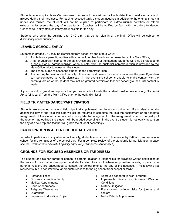Students who acquire three (3) unexcused tardies will be assigned a lunch detention to make up any work missed during their tardiness. For each unexcused tardy a student acquires in addition to the original three (3) unexcused tardies, the student will not be eligible to participate in extracurricular activities or attend extracurricular events the day s/he was tardy. Coaches will be notified by 2pm with the daily attendance. Coaches will notify athletes if they are ineligible for the day.

Students who enter the building after 7:42 a.m. that do not sign in at the Main Office will be subject to disciplinary consequences.

## **LEAVING SCHOOL EARLY**

Students in grades 9-12 may be dismissed from school by one of four ways:

- 1. A note from a parent/guardian with a contact number listed can be presented at the Main Office;
- 2. A parent/guardian comes to the Main Office and sign out the student. Students will only be released to a non-custodial parent/guardian when a note from the custodial parent/guardian is provided to the Main Office prior to releasing the student;
- 3. The school nurse releases the student to the parent/guardian;
- 4. A note may be sent in electronically. The note must have a phone number where the parent/guardian can be contacted to verify dismissal. In the event the school is unable to make contact with the parent/guardian of the student may not be granted permission to leave school grounds until contact is made.

If your parent or guardian requests that you leave school early the student must obtain an *Early Dismissal Form* (pink card) from the Main Office prior to the early dismissal.

#### **FIELD TRIP ATTENDANCE/PARTICIPATION**

Students are expected to attend field trips that supplement the classroom curriculum. If a student is legally absent the day of the field trip s/he will still be required to complete the field trip assignment or an alternate assignment. If the student chooses not to complete the assignment or the assignment is not to the quality of the teacher has outlined the student will be graded accordingly. In the event a student is not legally absent on the day of a field trip, the teacher will grade the student accordingly.

#### **PARTICIPATION IN AFTER SCHOOL ACTIVITIES**

In order to participate in any after school activity, students must arrive to homeroom by 7:42 a.m. and remain in school for the remainder of the school day. For a complete review of the standards for participation, please see the *Extracurricular Activity Eligibility and Policy Standards (Appendix A)*.

#### **GROUNDS FOR EXCUSED ABSENCES OR TARDINESS:**

The student and his/her parent or person in parental relation is responsible for providing written notification of the reason for such absences upon the student's return to school. Whenever possible parents, or persons in parental relation, are encouraged to contact the school prior to the day of the absence. The following list represents, but is not limited to, appropriate reasons for being absent from school or tardy:

- Personal Illness
- Sickness or death in family
- Medical Appointments
- Court Appearances
- Religious Observance
- Quarantine
- Supervised Education Project
- Approved cooperative work program
- Impassable Roads or Adverse Weather **Conditions**
- Military Obligation
- Pre-approved college visits for juniors and seniors
- **Motor Vehicle Appointment**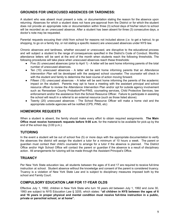#### **GROUNDS FOR UNEXCUSED ABSENCES OR TARDINESS:**

A student who was absent must present a note, or documentation stating the reason for the absence upon returning. Absences for which a student does not have pre-approval from the District or for which the student does not provide an appropriate note or documentation within three (3) school days of his/her return to school will be recorded as an unexcused absence. After a student has been absent for three (3) consecutive days, a doctor's note may be requested.

Parental requests excusing their child from school for reasons not included above (*i.e*. to get a haircut, to go shopping, to go on a family trip, or not stating a specific reason) are unexcused absences under NYS law.

Chronic absences and tardiness, whether excused or unexcused, are disruptive to the educational process and will subject a student to the range of consequences specified in the District's Code of Conduct. Monthly attendance letters will be sent at the end of the month when students reach the following thresholds. The following procedures will take place when unexcused absences reach these thresholds:

- Five (5) unexcused absences (prior to April 1) A letter will be sent home informing parents of the total number of unexcused absences.
- Ten (10) unexcused absences A letter will be sent home informing parents that an *Attendance Intervention Plan* will be developed with the assigned school counselor. The counselor will check in with the student and family to determine the best course of action moving forward.
- Fifteen (15) unexcused absences A letter will be sent home informing the parents of the academic impact on the student. Parents may opt to have a meeting with the assistant principal and school resource officer to review the Attendance Intervention Plan and/or opt for outside agency involvement such as Rensselaer County Probation/Pre-PINS, counseling services, Child Protective Services, law enforcement and/or the assistance from the School Resource Officer. Failure to participate in assisting the school will result in a referral to an external resource (such as those listed above).
- Twenty (20) unexcused absences The School Resource Officer will make a home visit and the appropriate outside agencies will be notified (CPS, PINS, etc)

#### **HOMEWORK REQUESTS**

When a student is absent, the family should make every effort to obtain required assignments. **The Main Office must receive homework requests before 9:00 a.m.** for the material to be available for pick-up by the end of the school day (3:00 p.m.).

#### **TUTORING**

In the event a student will be out of school five (5) or more days with the appropriate documentation to verify the absences the district will assign the student a tutor for a minimum of 10 hours a week. The parent or guardian must contact their child's counselor to arrange for a tutor if the absence is planned. The District Office and/or High School Office will contact the parent or guardian if the absence is a result of disciplinary action. All arrangements for tutoring will be made through the Assistant Principal's Office.

#### **TRUANCY**

Per New York State education law, all students between the ages of 6 and 17 are required to receive full-time instruction at school. Student absence without the knowledge and consent of the parent is considered truancy. Truancy is a violation of New York State Law and is subject to disciplinary measures imposed both by the school and Family Court.

#### **COMPULSORY EDUCATION LAW FOR 17-YEAR OLDS**

Effective July 1, 1992, children in New York State who turn 16 years old between July 1, 1992 and June 30, 1993 are subject to NYS Education Law § 3205, which states: **"all children in NYS between the ages of 6 and 16 years in proper physical and mental condition must receive full-time instruction in a public, private or parochial school, or at home".**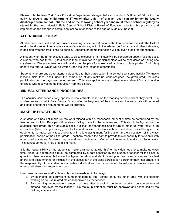Please note the New York State Education Department also granted a school district's Board of Education the ability to require any child turning 17 on or after July 1 of a given year can no longer be legally **discharged from school until the end of the following school year and must attend school regularly as stated in the law.** Hoosick Falls Central School District Board of Education adopted this provision and implemented the change in compulsory school attendance to the age of 17 as of June 2009.

#### **ATTENDANCE POLICY**

All absences (excused and unexcused, including suspensions) count in the total sessions missed. The District retains the discretion to evaluate a student's attendance, in light of academic performance and other indicators, in deciding whether credit shall be denied. Students on home instruction will be given credit for attendance.

A student who has an unexcused tardy to class exceeding 15 minutes will be considered absent for that class. A student who has three (3) tardies less than 15 minutes in a particular class will be considered as having one (1) absence. Classroom teachers will handle the discipline for unexcused tardiness to class (under 15 minutes) prior to the referral, which will be written upon the third instance of tardiness.

Students who are unable to attend a class due to their participation in a school sponsored activity (*i.e*. music lessons, field trips) shall, upon the completion of any make-up work assigned, be given credit for class participation for the day/class period missed. This also applies to any student who is absent from school due to illness who receives home instruction from the district.

#### **MINIMAL ATTENDANCE PROCEDURES**

The *Minimal Attendance Policy* applies to new entrants based on the marking period in which they enroll. If a student enters Hoosick Falls Central School after the beginning of the school year, the entry date will be noted and class attendance requirements will be prorated.

#### **MAKE-UP PROCEDURES**

A student who has not made up the work missed within a reasonable amount of time as determined by the teacher and building Principal will receive a failing grade for the work missed. This should be figured into the student's final grade on an equitable basis if a lack of attendance and failure to make up work result in an incomplete (I) becoming a failing grade for the work missed. Students with excused absences will be given the opportunity to make up a test and/or turn in a late assignment for inclusion in the calculation of the class participation portion of their final grade. Teachers reserve the right to provide this opportunity for students with unexcused absences. Students may be assigned lunch and/or after school detention to make up missing work. This consequence is in lieu of a failing mark.

It is the responsibility of the student to make arrangements with his/her individual teacher to make up class time. Make-up opportunities must be completed by a date specified by the student's teacher for the class in question. Teachers may, but are not obligated to, allow a student make-up for unexcused absences for a test and/or late assignments for inclusion in the calculation of the class participation portion of their final grade. It is the responsibility of the student to ask his/her individual teacher for permission to make up absences related to unexcused absences and/or class cuts.

Unexcused absences and/or class cuts can be made up in two ways:

- 1. By spending an equivalent number of periods after school or during lunch time with the teacher working on course related material approved by the teacher;
- 2. By spending an equivalent amount of time after school, in detention, working on course related material approved by the teacher. This make-up detention must be approved and scheduled by the building administrator.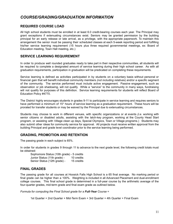## *COURSE/GRADING/GRADUATION INFORMATION*

#### **REQUIRED COURSE LOAD**

All high school students must be enrolled in at least 6.0 credit-bearing courses each year. The Principal may grant exceptions if extenuating circumstances exist. Seniors may be granted permission by the building principal for an early release or late arrival, as a privilege, with the appropriate paperwork. To maintain this arrangement the senior must be passing their scheduled classes at each 5-week reporting period and fulfilling his/her service learning requirement (15 hours plus three required governmental meetings, ex: Board of Education meeting, Town Hall meeting, etc.)

#### **SERVICE LEARNING REQUIREMENT**

In order to produce well rounded graduates ready to take part in their respective communities, all students will be required to complete a designated amount of service learning during their high school career. As with all graduation requirements, participation in graduation will be predicated on completing these requirements.

Service learning is defined as activities participated in by students on a voluntary basis without personal or financial gain that will benefit individual community members *(not including relative*s) and/or a specific segment of the community. The service performed must include active engagement. Passive engagement, such as observation or job shadowing, will not qualify. While a "service" to the community in many ways, fundraising will not qualify for purposes of this definition. Service learning requirements for students will reflect Board of Education Policy #4770.

The District highly encourages students in grades 9-11 to participate in service learning and requires seniors to have performed a minimum of 15\* hours of service learning as a graduation requirement. These hours will be prorated for transfer students or may be waived by the Principal due to extenuating circumstances.

Students may choose to work in different venues, with specific organizations or at events *(i.e.* working with senior citizens or disabled adults, assisting with the latch-key program, working at the County Head Start program, or assisting with Village clean up days, Special Olympics, Town or Village programs.) Students may also submit other ideas for community service for approval. All projects must receive written approval from the building Principal and grade level coordinator prior to the service learning being performed.

#### **GRADING, PROMOTION AND RETENTION**

The passing grade in each subject is 65%.

In order for students in grades 9 through 11 to advance to the next grade level, the following credit totals must be obtained:

Sophomore Status (10th grade) - 5 credits Junior Status (11th grade) - 10 credits Senior Status (12th grade) - 15 credits

#### **FINAL GRADES**

The passing grade for all courses at Hoosick Falls High School is a 65 final average. No marking period or final grade can be higher than a 100%. Weighting is included in all Advanced Placement and dual-enrollment college courses. This final school grade is determined in a full-year course by the arithmetic average of the four-quarter grades, mid-term grade and final exam grade as outlined below.

*Formula for computing the Final School grade for a Full-Year Course* =

1st Quarter + 2nd Quarter + Mid-Term Exam + 3rd Quarter + 4th Quarter + Final Exam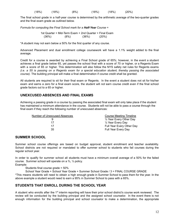| (18%) | ′18%) | (8%) | (18%) | (18%) | (20%) |
|-------|-------|------|-------|-------|-------|
|       |       |      |       |       |       |

The final school grade in a half-year course is determined by the arithmetic average of the two-quarter grades and the final exam grade as outlined below.

*Formula for computing the Final School mark for a Half-Year Course* =

1st Quarter + Mid-Term Exam + 2nd Quarter + Final Exam  $(36\%)$   $(8\%)$   $(36\%)$   $(20\%)$ 

\*A student may not earn below a 50% for the first quarter of any course.

Advanced Placement and dual enrollment college coursework will have a 1.1% weight added to the final average.

Credit for a course is awarded by achieving a Final School grade of 65%; however, in the event a student achieves a final grade below 65, yet passes the school final with a score of 70 or higher, or a Regents Exam with a score of 65 or higher. This determination will also follow the NYS safety net rules for Regents exams (i.e. a 55 is passing on a Regents exam for a special education student, thereby passing the associated *course).* The building principal will make a final determination if course credit shall be granted.

All students are required to sit for their final exam or Regents. In the event a student does not sit for his/her exam and earns a zero for a final exam score, the student will *not* earn course credit even if the final school grade factors out to a 65 or higher.

#### **UNEXCUSED ABSENCES AND FINAL EXAMS**

Achieving a passing grade in a course by passing the associated final exam will only take place if the student has maintained a minimum attendance in the course. Students will not be able to pass a course through the final exam if they reach the following number of unexcused absences:

| Number of Unexcused Absences | Course Meeting Timeline      |
|------------------------------|------------------------------|
| 9                            | 1/2 Year Every Other Day     |
| 17                           | $\frac{1}{2}$ Year Every Day |
| 17                           | Full Year Every Other Day    |
| 35                           | <b>Full Year Every Day</b>   |
|                              |                              |

#### **SUMMER SCHOOL**

Summer school course offerings are based on budget approval, student enrollment and teacher availability. School districts are not required or mandated to offer summer school to students who fail courses during the regular school year.

In order to qualify for summer school all students must have a minimum overall average of a 50% for the failed course. Summer school will operate on a ⅔, ⅓ policy.

Example:

Students final course grade = 50%

School Year Grade + School Year Grade + Summer School Grade / 3 = FINAL COURSE GRADE

\*This means students will need to obtain a high enough grade in Summer School to pass them for the year. In the above example a student would need to earn a 95% in Summer School to pass with a 65%.

#### **STUDENTS THAT ENROLL DURING THE SCHOOL YEAR**

A student who enrolls after the 1<sup>st</sup> interim reporting will have their prior school district's course work reviewed. The review will be conducted by the building principal and the assigned school counselor. In the event there is not enough information for the building principal and school counselor to make a determination, the appropriate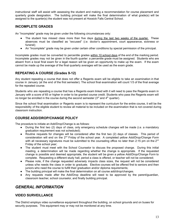instructional staff will assist with assessing the student and making a recommendation for course placement and quarterly grade designation. The building principal will make the final determination of what grade(s) will be assigned to the quarter(s) the student was not present at Hoosick Falls Central School.

#### **INCOMPLETE GRADES**

An "Incomplete" grade may be given under the following circumstances only:

- The student has missed class more than five days during the last two weeks of the quarter. These absences must be classified as "excused" (*i.e.* doctor's appointment, court appearance, sickness or funeral);
- An "Incomplete" grade may be given under certain other conditions by special permission of the principal.

Incomplete grades must be converted to percentile grades within 10 school days of the end of the marking period. Incomplete grades may not be given in the fourth quarter: a percentile grade must be assigned. Students who are absent from a local final exam for a legal reason will be given an opportunity to make up the exam. If the exam cannot be made up the average of the final quarterly averages will be used as the exam grade.

#### **REPEATING A COURSE (Grades 9-12)**

Any student repeating a course that does not offer a Regents exam will be eligible to take an examination in that course in January (at the end of the first semester). The school final examination will count 1/3 of the final average for the repeated course.

Students who are repeating a course that has a Regents exam linked with it will need to pass the Regents exam in January with a score of 65 or higher in order to be granted course credit. Students who pass the Regents exam will no longer be enrolled in the course during the second semester ( $3<sup>rd</sup>$  and  $4<sup>th</sup>$  quarter).

Since the school final examination or Regents exam is to represent the curriculum for the entire course, it will be the responsibility of the eligible student to review all material to be included on the examination that is not covered during classroom instruction.

#### **COURSE ADD/DROP/CHANGE POLICY**

The procedure to initiate an Add/Drop/Change is as follows:

- During the first two (2) days of class, only emergency schedule changes will be made (*i.e*. a mandatory graduation requirement was not scheduled);
- Routine requests for changes will be considered after the first two (2) days of classes. This period of consideration will end on the 2<sup>nd</sup> Friday of the school year. A completed yellow *Add/Drop/Change Form* with all necessary signatures must be submitted to the counseling office no later than 2:15 pm on the 2<sup>nd</sup> Friday of the school year;
- The student must meet with the School Counselor to discuss the proposed change. During this initial meeting, a determination will be made regarding whether the change is appropriate. If the requested change is possible and deemed appropriate, the student will be given a yellow *Add/Drop/Change Form* to complete. Requesting a different study hall, period a class is offered, or teacher will not be considered;
- Please note, if the change requested adversely impacts class sizes, the request will not be considered unless s/he needs the class in order to graduate. Elective courses will be offered first to seniors and then juniors who need the course to fulfill their graduation and/or diploma requirements;
- The building principal will make the final determination on all course add/drop/changes.
- Any requests made after the Add/Drop deadline will need to be approved by the parent/guardian, classroom teacher, school counselor, and finally building principal.

## *GENERAL INFORMATION*

#### **VIDEO SURVEILLANCE**

The District employs video surveillance equipment throughout the building, on school grounds and on buses for security purposes. This equipment may or may not be monitored at any time.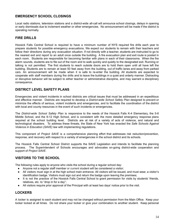#### **EMERGENCY SCHOOL CLOSINGS**

Local radio stations, television stations and a district-wide all-call will announce school closings, delays in opening or early dismissals due to inclement weather or other emergencies. No announcement will be made if the district is operating normally.

#### **FIRE DRILLS**

Hoosick Falls Central School is required to have a minimum number of NYS required fire drills each year to prepare students for possible emergency evacuations. We expect our students to remain with their teachers and follow their directions during any evacuation situation. If not directly with a teacher, students are instructed to go to the nearest exit and report to an adult once outside the building. A fire evacuation plan and exit route is posted in each room. Students are responsible for becoming familiar with plans in each of their classrooms. When the fire alarm sounds, students are to file out of the room and to walk quickly and quietly to the designated exit. Running or talking is not permitted. The first students to reach outside doors are to hold them open until all have left the building. Students are to remain at least 50 feet away from the building, out of traffic lanes and away from parked cars. An announcement will be made when it is safe to re-enter the building. All students are expected to cooperate with staff members during fire drills and to leave the buildings in a quiet and orderly manner. Distracting or disruptive behavior will be subject to either teacher or administrative discipline, and may warrant a disciplinary consequence.

#### **DISTRICT LEVEL SAFETY PLANS**

Emergencies and violent incidents in school districts are critical issues that must be addressed in an expeditious and effective manner. Districts are required to develop a *District-wide School Safety Plan* designed to prevent or minimize the effects of serious, violent incidents and emergencies, and to facilitate the coordination of the district with local and county resources in the event of such incidents or emergencies.

The *District-wide School Safety Plan* is responsive to the needs of the Hoosick Falls K-4 Elementary, the 5-8 Middle School, and the 9-12 High School, and is consistent with the more detailed emergency response plans required at the school building level. Districts are at risk of a variety of acts of violence, and natural and technological disasters. To address these threats, the State of New York has enacted the *Safe Schools Against Violence in Education (SAVE)* law with implementing regulations.

This component of *Project SAVE* is a comprehensive planning effort that addresses risk reduction/prevention, response, and recovery with respect to a variety of emergencies in the school district and its schools.

The Hoosick Falls Central School District supports the SAVE Legislation and intends to facilitate the planning process. The Superintendent of Schools encourages and advocates on-going district-wide cooperation and support of *Project SAVE*.

#### **VISITORS TO THE SCHOOL**

The following rules apply to anyone who visits the school during a regular school day:

- Anyone not a regular staff member or current student will be considered a visitor;
- All visitors must sign in at the high school main entrance. All visitors will be issued, and must wear, a visitor's identification badge. Visitors must sign out and return the badge upon leaving the premises;
- It is not the practice of the Hoosick Falls Central School to grant permission for visits by students' friends, relatives, etc. to "drop in for a day";
- All visitors require prior approval of the Principal with at least two days' notice prior to the visit.

#### **LOCKERS**

A locker is assigned to each student and may not be changed without permission from the Main Office. Keep your locker locked at all times. Do not share your locker or give your combination to another student. Keep personal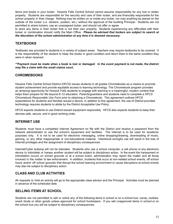items and books in your locker. Hoosick Falls Central School cannot assume responsibility for any lost or stolen property. Students are responsible for the security and care of their locker, and are financially responsible for the school property in their charge. Nothing may be written on or inside any locker, nor may anything be placed on the outside of the locker (*i.e.* stickers, posters, etc.) without the approval of the building Principal. Students are not permitted to share lockers, use an unassigned locker, and should not offer or agree

to store any items in their locker that is not their own property. Students experiencing any difficulties with their locker or combination should notify the Main Office. *Please be advised that lockers are subject to search at the discretion of the school administration at any time it is deemed necessary.*

#### **TEXTBOOKS**

Textbooks are provided to students in a variety of subject areas. Teachers may require textbooks to be covered. It is the responsibility of the student to keep the books in good condition and return them in the same condition they were in when received.

\*\*Payment must be made when a book is lost or damaged. In the event payment is not made, the district **may file a claim with the small claims court.**

#### **CHROMEBOOKS**

Hoosick Falls Central School District (HFCS) issues students in all grades Chromebooks as a means to promote student achievement and provide equitable access to learning technology. The Chromebook program provides an amazing opportunity for Hoosick Falls students to engage with learning in a meaningful, modern context that helps them prepare for life beyond K-12 education. Parents/guardians and students need to complete a *HFCS Chromebook Responsible Use Form* prior to obtaining a Chromebook. This agreement outlines HFCS expectations for students and families issued a device. In addition to this agreement, the use of District-provided technology requires students to abide by the District Acceptable Use Policy.

HFCS expects students to use District-issued equipment responsibly. HFCS also expects students to keep their devices safe, secure, and in good working order.

#### **INTERNET USE**

Students must have a completed *Internet Agreement* on file with the District and receive a password from the network administrator to use the school's equipment and facilities. The Internet is to be used for academic purposes only. It is not to be used for electronic messaging, online shopping/drawing, downloading of music, gaming, or any other inappropriate or non-educational material. Intentional wrongful use will result in the loss of Internet privileges and the assignment of disciplinary consequences.

Internet/Cyber bullying will not be tolerated. Students who use a school computer, a cell phone or any electronic device to intimidate or harass another student will be subject to disciplinary action. In the event the harassment or intimidation occurs on school grounds or at a school event, administration may report the matter and all those involved in the matter to law enforcement. In addition, incidents that occur at non-related school events, off school hours and/or off school grounds that disrupt the school learning environment or cause disruptions at school events may also be subject to disciplinary action.

#### **CLASS AND CLUB ACTIVITIES**

All requests to hold an activity will go to the appropriate class advisor and the Principal. Activities must be planned in advance of the scheduled date.

#### **SELLING ITEMS AT SCHOOL**

Students are not permitted to sell or solicit any of the following items in school or on a school bus: candy, cookies, snack foods or other goods unless approved for school fundraisers. If you sell unapproved items in school or on the school bus you will be subject to disciplinary consequences.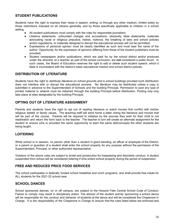#### **STUDENT PUBLICATIONS**

Students have the right to express their views in speech, writing, or through any other medium, limited solely by those restrictions imposed on all citizens generally, and by those specifically applicable to children in a school setting.

- All student publications must comply with the rules for responsible journalism;
- Libelous statements, unfounded charges and accusations, obscenity, false statements, materials advocating racial or religious prejudice, hatred, violence, the breaking of laws and school policies and/or regulations, or materials designed to disrupt the educational process will not be permitted;
- Expressions of personal opinion must be clearly identified as such and must bear the name of the author. Opportunity for the expression of opinions differing from those of the student publishers must be provided;
- Student newspapers and/or publications, which are paid for by the school district and/or produced under the direction of a teacher as part of the school curriculum, are **not** considered a public forum. In such cases, the Board of Education reserves the right to edit or delete such student speech, which it feels is inconsistent with the district's basic educational mission and school district policies.

#### **DISTRIBUTION OF LITERATURE**

Students have the right to distribute literature on school grounds and in school buildings provided such distribution does not interfere with or disrupt the educational process. No literature may be distributed unless a copy is submitted in advance to the Superintendent of Schools and the building Principal. Permission to post any type of printed material or artwork must be obtained through the building Principal before distribution. Posting may only take place at sites designated by the building Principal.

#### **OPTING OUT OF LITERATURE ASSIGNMENT**

Parents and students have the right to opt out of reading literature or watch movies that conflict with his/her religious beliefs or family values. The teaching staff will send home a letter noting the literature and movies that will be part of the course. Parents will be required to initialize by the sources they wish for their child to not read/watch and return the form back to the teacher. The teacher in turn will create an alternate assignment for the student to ensure s/he is provided the same opportunity to learn the same skill/concepts the other students are being taught.

#### **LOITERING**

While school is in session, no person other than a student in good standing, an officer or employee of the District, or a parent or guardian of a student shall enter the school property for any purpose without the permission of the Superintendent, Principal, or other authorized representative.

Violators of the above rules are subject to arrest and prosecution for trespassing and disorderly conduct. A student suspended from school will be considered loitering if s/he enters school property during the period of suspension.

#### **FREE AND REDUCED PRICE FOOD SERVICES**

The school participates in federally funded school breakfast and lunch programs, and shall provide free meals for ALL students for the 2021-22 school year.

#### **SCHOOL DANCES**

School sponsored dances, on or off campus, are subject to the Hoosick Falls Central School Code of Conduct. Failure to comply may result in disciplinary action. The advisor of the student activity sponsoring a school dance will be responsible for the conduct and behavior of students at the dance and will be considered the Chaperone in Charge. It is the responsibility of the Chaperone in Charge to ensure that the rules listed below are enforced and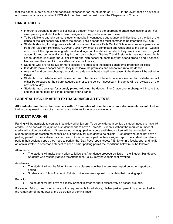that the dance is both a safe and beneficial experience for the students of HFCS. In the event that an advisor is not present at a dance, another HFCS staff member must be designated the Chaperone in Charge.

## **DANCE RULES**

- In order to purchase a prom or ball ticket a student must have the appropriate grade level designation. For example, only a student with a junior designation may purchase a prom ticket;
- To be eligible to attend a dance, students must be in continuous attendance until dismissal on the day of the dance or the last school day before the dance. Their attendance must commence no later than 7:39 a.m.;
- Students desiring to bring guests who do not attend Hoosick Falls Central School must receive permission from the Assistant Principal. A *Dance Guest Form* must be completed one week prior to the dance. Guests must be of the appropriate grade level and age for the dance to which they are invited and in good academic and behavioral standing in their own school. Grades 7 and 8 students may not attend high school dances (including the Junior Prom) and high school students may not attend grade 7 and 8 dances. No one over the age of 21 may attend any school dance;
- Students who are failing two or more classes are subject to the school's academic probation policies;
- If students leave a school dance, they must leave the premises and cannot return to the dance.
- Anyone found on the school grounds during a dance without a legitimate reason to be there will be asked to leave;
- Students who misbehave will be ejected from the dance. Students who are ejected for misbehavior will either be released to their parents/guardians or to the police if necessary. Incidents will be reviewed on the next school day;
- Students must arrange for a timely pickup following the dance. The Chaperone in charge will insure that students do not loiter on school grounds after a dance.

#### **PARENTAL PICK-UP AFTER EXTRACURRICULAR EVENTS**

**All students must leave the premises within 15 minutes of completion of an extracurricular event.** Failure to do so may result in loss of extracurricular privileges for one or more events.

#### **STUDENT PARKING**

Parking will be available to seniors first, followed by juniors. To be considered a senior, a student needs to have 15 credits. To be considered a junior, a student needs to have 10 credits. Students without the required number of credits will not be considered. If there are not enough parking spots available, a lottery will be conducted. A student parking application must be filled out annually for a student to be eligible. A student who does not have a parking permit on their vehicle may be towed**.** A student must park in their assigned spot. If a student is unable to park in their assigned spot, they need to park in the "Day Pass" spots (spots #45-50) or in a faculty spot and notify an administrator. In order for a student to keep his/her parking permit the conditions below must be followed:

**Attendance** 

● The student will make every effort to follow the Attendance procedures listed in the Student Handbook. Students who routinely abuse the Attendance Policy, may have their spot revoked.

Academics

- The student will not be failing two or more classes at either the progress report period or report card period.
- Students who follow Academic Tutorial guidelines may appeal to maintain their parking spot.

**Behavior** 

• The student will not drive recklessly or honk his/her car horn excessively on school grounds.

If a student fails to meet one or more of the requirements listed above, his/her parking permit may be revoked for the remainder of the quarter at the discretion of administration.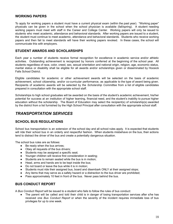#### **WORKING PAPERS**

To apply for working papers a student must have a current physical exam (within the past year). "Working paper" physicals can be given in the school when the school physician is available (fall/spring). A student needing working papers must meet with staff in the Career and College Center. Working papers will only be issued to students who meet academic, attendance and behavioral standards. After working papers are issued to a student, the student must continue to meet academic, attendance and behavioral standards. Students who receive working papers and then fail to meet standards will have their working papers revoked. In these cases, the school will communicate this with employers.

#### **STUDENT AWARDS AND SCHOLARSHIPS**

Each year a number of students receive formal recognition for excellence in academic service and/or athletic activities. Outstanding achievement is recognized by honors conferred at the beginning of the school year. All students regardless of race, color, creed, sex, sexual orientation and national origin, religion, age, economic status, marital status or disability shall be eligible for all awards and/or scholarships given or disseminated by Hoosick Falls School District.

Eligible candidates for academic or other achievement awards will be selected on the basis of academic achievement, school citizenship, and/or co-curricular performance, as applicable to the type of award being given. Recipients of academic awards will be selected by the *Scholarship Committee* from a list of eligible candidates prepared in consultation with the appropriate school staff.

Scholarships to high school graduates will be awarded on the basis of the student's academic achievement, his/her potential for success at an institution of higher learning, financial need, and the student's inability to pursue higher education without the scholarship. The Board of Education may select the recipient(s) of scholarship(s) awarded by the district from a list furnished by the High School Principal after consultation with the appropriate school staff.

## *TRANSPORTATION SERVICES*

#### **SCHOOL BUS REGULATIONS**

School bus transportation is an extension of the school day and all school rules apply. It is expected that students will ride their school bus in an orderly and respectful fashion. When students misbehave on the bus, their actions tend to distract the driver of the bus and create a potentially dangerous situation.

The school bus rules are as follows:

- Be ready when the bus arrives:
- Obey all requests of the bus drivers;
- Students may be assigned a specific seat;
- Younger children will receive first consideration in seating;
- Students are to remain seated while the bus is in motion;
- Head, arms and hands are to be kept inside the bus:
- Do not board or leave the bus while it is in motion;
- Students must ride their assigned bus, board and disembark ONLY at their assigned stops;
- Any items that may serve as a safety hazard or a distraction to the bus driver are prohibited;
- Pass approximately 10 feet in front of the bus. Never pass behind the bus.

#### **BUS CONDUCT REPORT**

A *Bus Conduct Report* will be issued to a student who fails to follow the rules of bus conduct:

The parent will be called and told their child is in danger of losing transportation services after s/he has received one *Bus Conduct Report* or when the severity of the incident requires immediate loss of bus privileges for up to one week.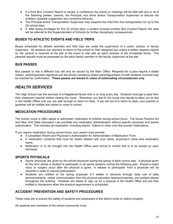- If a third *Bus Conduct Report* is issued, a conference (by phone or meeting) will be held with any or all of the following parties: parents, the Principal, bus driver and/or Transportation Supervisor to discuss the problem, possible suspension and corrective behavior.
- The Principal and/or Transportation Supervisor may suspend the child from bus transportation for up to five (5) school days.
- If, after losing privileges for five (5) school days, a student receives another *Bus Conduct Report*, the case will be referred to the Superintendent of Schools for further disciplinary consequences.

#### **BUSES TO ATHLETIC EVENTS AND FIELD TRIPS**

Buses scheduled for athletic activities and field trips are under the supervision of a coach, advisor, or faculty supervisor. All students are required to return to the school on their assigned bus unless a written request (*signed by the parent*) is received at the site of the event to ride with an adult member of the immediate family. The parental request must be presented by the adult family member to the faculty supervisor at the site.

#### **BUS PASSES**

Bus passes to ride a different bus will only be issued by the Main Office. Requests for a pass require a stated reason, parent/guardian signature and the phone number(s) where parent/guardians of both students involved may be reached for confirmation. **These passes are issued in cases of extenuating circumstances only**.

## *HEALTH SERVICES*

The High School has the services of a Registered Nurse who is on duty every day. Students must get a pass from their classroom teacher before visiting the nurse. Whenever you feel ill, the nurse may decide to allow you to rest in the Health Office until you are well enough to return to class. If you are too ill to return to class, your parents or guardian will be notified and asked to come to school.

#### **MEDICATION PROCEDURES**

The school nurse is often asked to administer medication to children during school hours. The Nurse Practice Act and New York State Education Law prohibits any medication administration without specific physician and parent authorization. This includes all medication, including aspirin, Tylenol or other over-the-counter medications.

If you require medication during school hours, your parent must provide:

- A completed *Parent and Physician's Authorization for Administration of Medication Form*;
- A medication container that must be clearly labeled with your name, physician's name and medication name;
- Medication is to be brought into the Health Office upon arrival to school and is to be picked up upon dismissal.

#### **SPORTS PHYSICALS**

- Sports physicals are given by the school physician during the spring of each school year. A physical given at this time allows a student to participate in all sports seasons during the following year. Should a major injury or surgery occur after the physical is given, "a release to participate" from a physician will be required in order to resume participation;
- Students are notified of the spring physicals 2-3 weeks in advance through daily use of daily announcements, verbal communication from the physical education teachers/coaches, and posters placed throughout the building. Students are asked to sign up for a physical in the Health Office and are then notified in homeroom when the physical appointment is scheduled.

#### **ACCIDENT PREVENTION AND SAFETY PROCEDURES**

These rules are to ensure the safety of students and employees of the district while on district property.

All students and members of the school community must: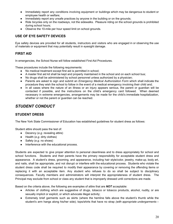- Immediately report any conditions involving equipment or buildings which may be dangerous to student or employee health or welfare;
- Immediately report any unsafe practices by anyone in the building or on the grounds;
- Ride bicycles only on the roadways, not the sidewalks. Pleasure riding on the school grounds is prohibited during school hours;
- Observe the 10-mile per hour speed limit on school grounds.

#### **USE OF EYE SAFETY DEVICES**

Eye safety devices are provided for all students, instructors and visitors who are engaged in or observing the use of materials or equipment that may potentially result in eyesight damage.

#### **FIRST AID**

In emergencies, the School Nurse will follow established First Aid Procedures.

These procedures include the following requirements:

- No medical treatment except first aid is permitted in school:
- A master first aid kit shall be kept and properly maintained in the school and on each school bus;
- No drugs shall be administered by school personnel unless authorized by a physician;
- Parents are asked to sign and submit an *Emergency Medical Authorization Form* which shall indicate the procedure they wish the school to follow in the event of a medical emergency involving their child and;
- In all cases where the nature of an illness or an injury appears serious, the parent or guardian will be contacted if possible, and the instructions on the child's emergency card followed. When deemed necessary in extreme emergencies, arrangements may be made for the child's immediate hospitalization, whether or not the parent or guardian can be reached.

## *STUDENT CONDUCT*

#### **STUDENT DRESS**

The New York State Commissioner of Education has established guidelines for student dress as follows:

Student attire should pass the test of:

- Decency (*e.g.* revealing attire)
- Health (*e.g.* dirty clothes)
- Safety (*e.g.* no shoes)
- Interference with the educational process.

Students are expected to give proper attention to personal cleanliness and to dress appropriately for school and school functions. Students and their parents have the primary responsibility for acceptable student dress and appearance. A student's dress, grooming, and appearance, including hair style/color, jewelry, make-up, body art, and nails, shall be appropriate, and not disrupt or interfere with the educational process. Students who violate the student dress code shall be required to modify their appearance by covering or removing the offending items or replacing it with an acceptable item. Any student who refuses to do so shall be subject to disciplinary consequences. Faculty members and administrators will interpret the appropriateness of student dress. The Principal may exclude from school or class any student that is improperly dressed until corrections are made.

Based on the criteria above, the following are examples of attire that are *NOT* acceptable:

- Articles of clothing which are suggestive of drugs, tobacco or tobacco products, alcohol, nudity, or are sexually implicit or explicit, or which advocate illegal activity;
- Extremely brief garments such as skirts (where the hemline falls above the student's thumb while the student's arm hangs along his/her side); tops/shirts that have no strap *(with appropriate undergarments –*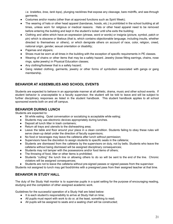*i.e. bralettes, bras, tank tops)*, plunging necklines that expose any cleavage, bare midriffs, and see-through garments;

- Costumes and/or masks (other than at approved functions such as Spirit Week);
- The wearing of hats or other head apparel (bandanas, hoods, etc.) is prohibited in the school building at all times, unless worn for religious or medical reasons. Hats or other head apparel need to be removed before entering the building and kept in the student's locker until s/he exits the building;
- Clothing and attire which have an expression (phrase, word or words) or insignia (picture, symbol, patch or pin) which is obscene or libelous (that is, which contains objectionable language, including insults, whether directed to themselves or others), or which denigrate others on account of race, color, religion, creed, national origin, gender, sexual orientation or disability;
- Pajamas and slippers:
- Shoes must be worn at all times in the building with the exception of specific requirements in PE classes.
- Wearing of chains or other items that may be a safety hazard. Jewelry (loose fitting earrings, chains, nose rings, spike jewelry) in Physical Education classes;
- Any clothing/footwear that is a safety hazard;
- Gang related clothing, garments, jewelry or other forms of symbolism associated with gangs or gang membership.

#### **BEHAVIOR AT ASSEMBLIES AND SCHOOL EVENTS**

Students are expected to behave in an appropriate manner at all athletic, drama, music and other school events. If student behavior is unacceptable to a faculty supervisor, the student will be told to leave and will be subject to further disciplinary responses as listed in the student handbook. This student handbook applies to all school sponsored events both on and off campus.

#### **BEHAVIOR DURING LUNCH**

Students are expected to:

- **●** Sit while eating. Quiet conversation or socializing is acceptable while eating;
- **●** Students may use electronic devices appropriately during lunches.
- Deposit all lunch litter in trash containers;
- Return all trays and utensils to the dishwashing area;
- **●** Leave the table and floor around your place in a clean condition. Students failing to obey these rules will serve clean-up detail under the direction of faculty supervisors;
- **●** No food or beverages may leave the cafeteria after lunch without permission;
- Supervisors have the discretion to assign students to specific seats in the cafeteria;
- **●** Students are dismissed from the cafeteria by the supervisors on duty, not by bells. Students who leave the cafeteria without being dismissed will be assigned disciplinary consequences;
- **●** Students may not tamper with the possessions and/or food items of others;
- The throwing of food, litter or other items is prohibited;
- **●** Students "cutting" the lunch line or allowing others to do so will be sent to the end of the line. Chronic violators will be assigned consequences;
- Students are not to leave the cafeteria without pre-signed passes or signed passes from the supervisor.

Students not assigned to lunch may get food/drinks with a presigned pass from their assigned teacher at that time.

## **BEHAVIOR IN STUDY HALL**

The duty of the Study Hall monitor is to supervise pupils in a quiet setting for the purpose of encouraging reading, studying and the completion of other assigned academic work.

Guidelines for the successful operation of a Study Hall are listed below:

- It is each student's responsibility to arrive at Study Hall on time;
- All pupils must report with work to do or, at the least, something to read;
- All pupils will be assigned to seats and a seating chart will be constructed;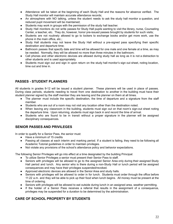- Attendance will be taken at the beginning of each Study Hall and the reasons for absence verified. The Study Hall monitor will maintain accurate attendance records;
- An atmosphere with NO talking, unless the student needs to ask the study hall monitor a question, and reduced pupil movement will be maintained;
- Students may work in groups with the permission of the study hall teacher.
- Study Hall monitors do not write passes for Study Hall pupils wanting to visit the library, nurse, Counseling Center, a teacher, etc. They do, however, honor pre-issued passes brought by students for such visits;
- Students are not routinely allowed to go to lockers to exchange books and/or get more work, use the phone in the main office, etc.;
- Study Hall students may not leave the Study Hall without a pre-signed pass specifying their specific destination and departure time;
- Bathroom passes that specify date and time will be allowed for one male and one female at a time, as may be needed. Normally, they will be allowed no more than three minutes in the bathroom;
- Cell phones and other electronic devices are allowed during study hall as long as it is not a distraction to other students and is used appropriately.
- Students must sign out and sign in upon return on the study hall monitor's sign out sheet, noting location, time out and time in.

## **PASSES - STUDENT PLANNERS**

All students in grades 9-12 will be issued a student planner. These planners will be used in place of passes. During class periods, students needing to travel from one destination to another in the building must have their student planner signed by the staff member they are leaving and the planner on them at all times.

- The planner must include the specific destination, the time of departure and a signature from the staff member.
- Students who are out of a room may not visit any location other than the destination noted.
- When leaving any classroom in the building, students must sign out on that room's sign-out sheet noting the departure time. Upon returning, students must sign back in and record the time of arrival.
- Students who are found to be in transit without a proper signature in the planner will be assigned disciplinary consequences.

#### **SENIOR PASSES AND PRIVILEGES**

In order to qualify for a Senior Pass, the senior must:

- Have a minimum of 15 credits
- Passing all classes at each interim and marking period. If a student is failing, they need to be following all Academic Tutorial guidelines in order to maintain privileges.
- Not violate any provisions of the school's attendance policy and behavior expectations.

The following Senior Privileges will go into effect at a time designated by the building Principal:

- To utilize Senior Privileges a senior must present their Senior Pass to staff.
- Seniors with privileges will be allowed to go to the assigned Senior Area only during their assigned Study Hall period and lunch. Any senior who is there during a non-Study Hall or lunch period will be assigned consequences and may have their privileges suspended/revoked.
- Approved electronic devices are allowed in the Senior Area and study halls.
- Seniors with privileges will be allowed to order in for lunch. Students must order through the office before 11:22 a.m. and they will be able to pick up their food when lunch begins. All money must be present at the time of ordering.
- Seniors with privileges will be allowed to eat outside during lunch in an assigned area, weather permitting.
- If the holder of a Senior Pass receives a referral that results in the assignment of a consequence, privileges may be suspended for a duration to be determined by the administration.

#### **CARE OF SCHOOL PROPERTY BY STUDENTS**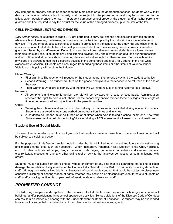Any damage to property should be reported to the Main Office or to the appropriate teacher. Students who willfully destroy damage or deface school property shall be subject to disciplinary action and may be prosecuted to the fullest extent possible under the law. If a student damages school property, the student and/or his/her parents or guardian shall be required to pay the district for the value of the damaged property up to the limit of the law.

#### **CELL PHONES/ELECTRONIC DEVICES**

*Until further notice,* all students in grade 9-12 are permitted to carry cell phones and electronic devices on them while in school. However, the learning atmosphere cannot be interrupted by the indiscriminate use of electronic devices. The use or open possession of such items is prohibited in the school during study hall and class time. It is our expectation that students have their cell phones and electronic devices away in class unless directed or given permission by a staff member. During lunch and transitions between classes students are allowed to use their electronic devices. If students are using listening devices, only one may be in/on at a time during transitions and lunch time, and at no time should listening devices be loud enough for others to hear. Seniors with senior privileges are allowed to use their electronic devices in the senior area and study hall, but not in the hall while classes are *in* session. Students are discouraged from bringing these items or other items of value to school. Violation of this policy will result in the following:

Phone Warning:

- First Warning: The teacher will request for the student to put their phone away and the student complies.
- Second Warning: The student will turn off the phone and give it to the teacher to be returned at the end of the class.
- Third Warning: Or failure to comply with the first two warnings results in a First Referral (see below). Referrals:
	- All cell phone and electronic device referrals will be reviewed on a case by case basis. Administration reserves the right to hold a cell phone for the school day and/or remove these privileges for a length of time to be determined in conjunction with the parent/guardian.

Other:

- Wearing headphones and earbuds in the hallway or bathroom is prohibited during academic classes. Students are allowed to wear one earbud during transition times and lunches.
- A student's cell phone must be turned off at all times when s/he is taking a school exam or a New York State assessment. A cell phone ringing/vibrating during a NYS assessment will result in an automatic zero.

#### **Student Use of Social Media**

The use of social media on or off school grounds that creates a material disruption to the school environment will be subject to disciplinary action.

For the purposes of this Section, social media includes, but is not limited to, all current and future social networking and media sharing sites such as Facebook, Twitter, Instagram, Pinterest, Flickr, Google+, Snap Chat, YouTube, etc. It also includes all apps, blogs, personal web pages, comments on websites, discussion forums, electronic/text messaging, and any other online tool or activity that involves connecting or communicating with orders.

Students must not publish or share photos, videos or content of any kind that is disparaging, harassing or could damage the reputation of any member of the Hoosick Falls Central School District community including students or staff. Although not exhaustive, this list is illustrative of social media conduct that would be subject to disciplinary conduct; publishing or sharing videos of fights whether they occur on or off school grounds; threats to students or staff; and/or posting confidential or personal information about students and staff.

## *PROHIBITED CONDUCT*

The following discipline code applies to the behavior of all students while they are on school grounds, in school buildings, and/or participating in/at school-sponsored activities. Serious violations of the District's Code of Conduct can result in an immediate hearing with the Superintendent or Board of Education. A student may be suspended from school or subjected to another form of disciplinary action when he/she engages in: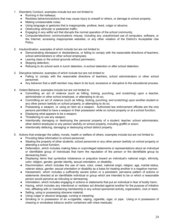- 1. Disorderly Conduct, examples include but are not limited to:
	- Running in the hallways;
	- Reckless behaviors/actions that may cause injury to oneself or others, or damage to school property;
	- Making unreasonable noise;
	- Using language or gestures that is inappropriate, profane, lewd, vulgar or abusive;
	- Obstructing vehicular or pedestrian traffic;
	- Engaging in any willful act that disrupts the normal operation of the school community;
	- Computer/electronic communications misuse, including any unauthorized use of computers, software, or the Internet; accessing inappropriate websites; or any other violation of the District's Acceptable Use Policy.
- 2. Insubordination, examples of which include but are not limited to:
	- Demonstrating disrespect or disobedience, or failing to comply with the reasonable directions of teachers, school administrators or other school employees;
	- Leaving class or the school grounds without permission;
	- Skipping detention;
	- Refusing to do school work in lunch detention, in-school detention or after school detention.
- 3. Disruptive behavior, examples of which include but are not limited to:
	- Failing to comply with the reasonable directions of teachers, school administrators or other school personnel;
	- Any behavior that a staff member may deem to be loud, excessive or disruptive to the educational process.
- 4. Violent Behavior, examples include but are not limited to:
	- Committing an act of violence (such as hitting, kicking, punching, and scratching) upon a teacher, administrator or other school employee, or attempting to do so;
	- Committing an act of violence (such as hitting, kicking, punching, and scratching) upon another student or any other person lawfully on school property, or attempting to do so;
	- Possessing a weapon, or using an item as a weapon. Authorized law enforcement officials are the only persons permitted to have a weapon in their possession while on school property or at a school function;
	- Displaying what appears to be a weapon;
	- Threatening to use any weapon:
	- Intentionally damaging or destroying the personal property of a student, teacher, school administrator, other district employee or any person lawfully on school property, including graffiti or arson;
	- Intentionally defacing, damaging or destroying school district property.
- 5. Actions that endanger the safety, morals, health or welfare of others, examples include but are not limited to:
	- Providing false information to school personnel;
	- Stealing the property of other students, school personnel or any other person lawfully on school property or attending a school function;
	- Defamation, which includes making false or unprivileged statements or representations about an individual or identifiable group of individuals that harm the reputation of the person or the identifiable group by demeaning them;
	- Displaying items that symbolize intolerance or prejudice toward an individual's national origin, ethnicity, color, religion, gender, gender identity, sexual orientation, or disability;
	- Discrimination, which includes the use of race, color, creed, national origin, religion, age, marital status, veteran status, gender, sexual orientation or disability as a basis for treating another in a negative manner;
	- Harassment, which includes a sufficiently severe action or a persistent, pervasive pattern of actions or statements directed at an identifiable individual or group which are intended to be or which a reasonable person would perceive as ridiculing or demeaning;
	- Intimidation, which includes engaging in actions or statements that put an individual in fear of bodily harm;
	- Hazing, which includes any intentional or reckless act directed against another for the purpose of initiation into, affiliating with or maintaining membership in any school sponsored activity, organization, club or team;
	- Selling, using or possessing obscene material;
	- Using vulgar or abusive language, cursing or swearing;
	- Smoking or in possession of an e-cigarette, vaping, cigarette, cigar, or pipe. Using or in possession of chewing or smokeless tobacco and/or containers with chew residuals;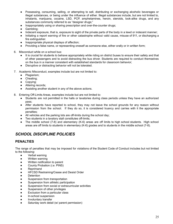- Possessing, consuming, selling, or attempting to sell, distributing or exchanging alcoholic beverages or illegal substances, or being under the influence of either. Illegal substances include, but are not limited to, inhalants, marijuana, cocaine, LSD, PCP, amphetamines, heroin, steroids, look-alike drugs, and any substances commonly referred to as "designer drugs;"
- Inappropriately using or sharing prescription and over-the-counter drugs;
- Gambling:
- Indecent exposure, that is, exposure to sight of the private parts of the body in a lewd or indecent manner;
- Initiating a report warning of fire or other catastrophe without valid cause, misuse of 911, or discharging a fire extinguisher.
- Inappropriate physical displays of affection;
- Providing a false name, or representing oneself as someone else, either orally or in written form;
- 6. Misconduct while on a school bus:
	- It is crucial for students to behave appropriately while riding on district buses to ensure their safety and that of other passengers and to avoid distracting the bus driver. Students are required to conduct themselves on the bus in a manner consistent with established standards for classroom behavior;
	- Disruptive or distracting behavior will not be tolerated.
- 7. Academic Misconduct, examples include but are not limited to:
	- Plagiarism;
	- Cheating;
	- Copying;
	- Altering records;
	- Assisting another student in any of the above actions.
- 8. Entering Off-Limits Areas, examples include but are not limited to:
	- Students are not permitted in the halls or lavatories during class periods unless they have an authorized pass;
	- After students have reported to school, they may not leave the school grounds for any reason without permission from the school. If they do so, it is considered truancy and carries with it the appropriate penalties;
	- All vehicles and the parking lots are off-limits during the school day;
	- Two students in a lavatory stall constitutes off-limits;
	- The middle school (7-8) and elementary (K-6) areas are off limits to high school students. High school areas are off limits to students in elementary (K-6) grades and to students in the middle school (7-8).

## *SCHOOL DISCIPLINE POLICIES*

#### **PENALTIES**

The range of penalties that may be imposed for violations of the Student Code of Conduct includes but not limited to the following:

- Verbal warning
- Written warning
- Written notification to parent
- County Probation (*i.e.* PINS)
- Reprimand
- HFCSD Restraining/Cease and Desist Order
- Detention
- Suspension from transportation
- Suspension from athletic participation
- Suspension from social or extracurricular activities
- Suspension of other privileges
- Exclusion from a particular class
- In-school suspension
- Involuntary transfer
- Saturday work detail (w/ parent permission)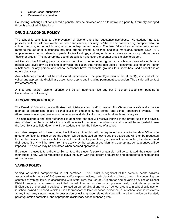- Out of School suspension
- Permanent suspension

Counseling, although not considered a penalty, may be provided as an alternative to a penalty, if formally arranged through school administration.

### **DRUG & ALCOHOL POLICY**

The school is committed to the prevention of alcohol and other substance use/abuse. No student may use, possess, sell, or distribute alcohol or other substances, nor may he/she use or possess drug paraphernalia, on school grounds, on school buses, or at school-sponsored events. The term "alcohol and/or other substances: refers to the use of all substances including, but not limited to, alcohol, inhalants, marijuana, cocaine, LSD, PCP, amphetamines, heroin, steroids, opioids, look-alike drugs, and any of those substances commonly referred to as "designer drugs." The inappropriate use of prescription and over-the-counter drugs is also forbidden.

Additionally, the following persons are not permitted to enter school grounds or school-sponsored events: any person who gives any visible and/or physical indication that he/she has used or consumed alcohol and/or other substances, or any person who school personnel have reasonable grounds to suspect has used alcohol and/or other substances.

Any substances found shall be confiscated immediately. The parent/guardian of the student(s) involved will be called and appropriate disciplinary action taken, up to and including permanent suspension. The district will contact law enforcement.

A first drug and/or alcohol offense will be an automatic five day out of school suspension pending a Superintendent's Hearing.

#### **ALCO-SENSOR POLICY**

The Board of Education has authorized administrators and staff to use an Alco-Sensor as a safe and accurate method of determining blood alcohol levels in students during school and school sponsored events. The Alco-Sensor is a simple device used to measure a student's blood alcohol level via breath analysis.

The administrators and staff authorized to administer the test will receive training in the proper use of the device. Any student that the administration or staff believes to be under the influence of alcohol will be requested to use the Alco-Sensor to help determine if the student is under the influence of alcohol.

A student suspected of being under the influence of alcohol will be requested to come to the Main Office or to another confidential place where the student will be instructed on how to use the device and will then be requested to use the device. If any alcohol is evident, the student's parents or guardian will be contacted, the student and their guest (if any) will be taken from the activity by the parent or guardian, and appropriate consequences will be imposed. The police may be contacted when deemed appropriate.

If a student refuses to take the Alco-Sensor test, the student's parent or guardian will be contacted, the student and their guest (if any) will be requested to leave the event with their parent or guardian and appropriate consequences will be imposed.

## **VAPING POLICY**

Vaping, or related paraphernalia, is not permitted. The District is cognizant of the potential health hazards associated with the use of E-Cigarettes and/or vaping devices, particularly due to lack of oversight concerning the contents of vaping liquid. In accordance with State laws, the use of E-Cigarettes and/or vaping devices on School District property is expressly prohibited. In addition, no student shall possess, sell, distribute or promote E-Cigarettes and/or vaping devices, or related paraphernalia, of any kind on school grounds, in school buildings, or in school owned or leased vehicles used to transport children or school personnel, or at school-sponsored events at any time. Any student found in possession or utilizing vape related devices will have their device confiscated, parent/guardian contacted, and appropriate disciplinary consequences given.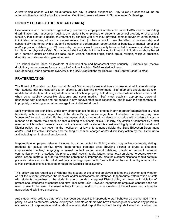A first vaping offense will be an automatic two day in school suspension. Any follow up offenses will be an automatic five day out of school suspension. Continued issues will result in Superintendent's Hearings.

#### **DIGNITY FOR ALL STUDENTS ACT (DASA)**

Discrimination and harassment against any student by employees or students under DASA means prohibiting discrimination and harassment against any student by employees or students on school property or at a school function, that creates a hostile environment by conduct with or without physical contact and/or by verbal threats, intimidation or abuse, of such a severe nature that: (1) has or would have the effect of unreasonably and substantially interfering with a student's educational performance, opportunities or benefits, or mental, emotional and/or physical well-being; or (2) reasonably causes or would reasonably be expected to cause a student to fear for his or her physical safety. Such conduct shall include, but is not limited to, threats, intimidation or abuse based on a person's actual or perceived race, color, weight, national origin, ethnic group, religion, religious practices, disability, sexual orientation, gender, or sex.

The school district takes all incidents of discrimination and harassment very seriously. Students will receive disciplinary consequences for any and all infractions involving DASA related incidents. See *Appendix D* for a complete overview of the DASA regulations for Hoosick Falls Central School District.

#### **FRATERNIZATION**

The Board of Education requires that all School District employees maintain a professional, ethical relationship with students that are conducive to an effective, safe learning environment. Staff members should act as role models for students at all times, whether on or off school property, both during and outside of school hours, and when using publicly accessible electronic and social media. Staff must establish appropriate personal boundaries with students and not engage in any behavior that could reasonably lead to even the appearance of impropriety or offering an unfair advantage to an individual student.

Staff members are prohibited, under any circumstances, to date or engage in any improper fraternization or undue familiarity with students, regardless of the student's age and/or regardless of whether the student may have "consented" to such conduct. Further, employees shall not entertain students or socialize with students in such a manner as to create the perception that a dating relationship exists. Similarly, any action or comment by a staff member which invites romantic or sexual involvement with a student is considered highly unethical, in violation of District policy, and may result in the notification of law enforcement officials, the State Education Department and/or Child Protective Services and the filing of criminal charges and/or disciplinary action by the District up to and including termination of employment.

Inappropriate employee behavior includes, but is not limited to, flirting; making suggestive comments; dating; requests for sexual activity; giving inappropriate personal gifts; providing alcohol or drugs to students; inappropriate touching; engaging in sexual contact and/or sexual relations; private or frequent personal communication with a student (via phone, e-mail, social media, letters, notes, etc.) unrelated to course work or official school matters. In order to avoid the perception of impropriety, electronic communications should not take place via private accounts, but should only occur in group or public forums that can be monitored by other adults. E-mail communications should be through the District's email system.

This policy applies regardless of whether the student or the school employee initiated the behavior, and whether or not the student welcomes the behavior and/or reciprocates the attention. Inappropriate fraternization of staff with students (regardless of the student's age or gender) is against District policy and may be in violation of professional standards of conduct and New York State Law. However, inappropriate employee conduct does not need to rise to the level of criminal activity for such conduct to be in violation of District rules and subject to appropriate disciplinary sanctions.

Any student who believes that he/she has been subjected to inappropriate staff behavior as enumerated in this policy, as well as students, school employees, parents or others who have knowledge of or witness any possible occurrence of inappropriate staff-student relations, shall report the incident to any staff member or either the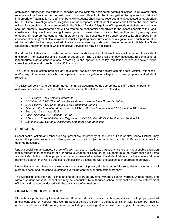employee's supervisor, the student's principal or the District's designated complaint officer. In all events such reports shall be forwarded to the designated complaint officer for further investigation. Anonymous complaints of inappropriate fraternization of staff members with students shall also be recorded and investigated as appropriate by the District. Investigations of allegations of inappropriate staff-student relations shall follow the procedures utilized for complaints of harassment within the School District. Allegations of inappropriate staff-student behavior shall be promptly investigated and will be treated as confidential and private to the extent possible within legal constraints. Any employee having knowledge of or reasonable suspicion that another employee may have engaged in inappropriate conduct with a student that may constitute child abuse (specifically, child abuse in an educational setting) must also follow the District's reporting procedures for such allegations; and such information will be reported by the designated administrator as required by state law to law enforcement officials, the State Education Department and/or Child Protective Services as may be applicable.

If a student initiates inappropriate behavior toward a staff member, that employee shall document the incident and report it to his/her building principal or supervisor. The District shall promptly investigate all complaints of inappropriate staff-student relations, according to the appropriate policy, regulation or law, and take prompt corrective action to stop such conduct if it occurs.

The Board of Education prohibits any retaliatory behavior directed against complainants, victims, witnesses, and/or any other individuals who participate in the investigation of allegations of inappropriate staff-student relations.

The District's policy (or a summary thereof) shall be disseminated as appropriate to staff, students, parents and volunteers. Further, this topic shall be addressed in the District Code of Conduct.

- *● BOE Policy#: 0110 Sexual Harassment*
- *● BOE Policy#: 5460 Child Abuse, Maltreatment or Neglect in a Domestic Setting.*
- *● BOE Policy#: 9620 Child Abuse in an Educational Setting*
- *● Title IX of the Education Amendments of 1972, 20 United States Code (USC) Section 1681 et seq.*
- *● Education Law Article 23-B*
- *● Social Services Law Sections 411-428*
- *● 8 New York Code of Rules and Regulations (NYCRR) Part 83 Civil Service Law Section 75*
- *● Education Law §3020-a. Disciplinary procedures and penalties*

#### **SEARCHES**

School desks, lockers and other such equipment are the property of the Hoosick Falls Central School District. They are not the private property of students, and as such are subject to inspection by school officials at any time it is deemed necessary.

Under special circumstances, school officials may search students, particularly if there is a reasonable suspicion that a student is in possession of a dangerous weapon or illegal drugs. Students must be aware that such items are forbidden both on school property and at school-related activities. If a student refuses to allow administration to perform a search, they will be subject to the discipline associated with the suspected inappropriate behavior.

Under law, students have no reasonable expectation of privacy rights in school lockers, desks, or other school storage places, and the school exercises overriding control over such school property.

The District retains the right to inspect student lockers at any time without a search warrant, without notice, and without student consent. Inspections may be conducted by authorized school personnel and/or law enforcement officials, and may be conducted with the assistance of trained dogs.

#### **GUN-FREE SCHOOL POLICY**

Students are prohibited by Federal Law and Board of Education policy from bringing a firearm onto property owned and/or controlled by Hoosick Falls Central School District. A firearm is defined, consistent with Section 921 Title 18 of the United States Code, as any weapon (including a starter gun) which will or is designed to, or may readily be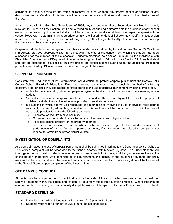converted to expel a projectile; the frame of receiver of such weapon, any firearm muffler or silencer, or any destructive device. Violation of this Policy will be reported to police authorities and pursued to the fullest extent of the law.

In accordance with the Gun-Free Schools Act of 1994, any student who, after a Superintendent's Hearing is held, pursuant to Education Law Section 3214 and is found guilty of bringing a firearm onto the premises of any school owned or controlled by this school district will be subject to a penalty of at least a one-year suspension from school. However, in determining an appropriate penalty, the Superintendent of Schools may modify the suspension requirement on a case-by-case basis, considering, among other things, the totality of circumstances surrounding the offense and the student's previous record.

Suspended students under the age of compulsory attendance as defined by Education Law Section 3205 will be immediately provided appropriate alternative instruction outside of the school from which the student has been suspended for the duration of the suspension. Students classified as disabled, pursuant to the Individuals with Disabilities Education Act (IDEA), in addition to the hearing required by Education Law Section 3214, such student shall not be suspended in excess of 10 days unless the district extends such student the additional procedural protection required by IDEA in connection with the change of placement.

#### **CORPORAL PUNISHMENT**

Consistent with Regulations of the Commissioner of Education that prohibit corporal punishment, the Hoosick Falls Central School Board of Education affirms that corporal punishment is not a desirable method of enforcing decorum, order or discipline. The Board therefore prohibits the use of corporal punishment by district employees.

- No teacher, administrator, officer, employee or agent in the district shall use corporal punishment against a student;
- As used in this section, corporal punishment is defined as the use of physical force for the purpose of punishing a student, except as otherwise provided in subdivision three;
- In situations in which alternative procedures and methods not involving the use of physical force cannot reasonably be employed, nothing contained in this section shall be construed to prohibit the use of reasonable physical force for the following purposes:
	- To protect oneself from physical injury;
	- To protect another student or teacher or any other person from physical injury;
	- To protect district property or the property of others;
	- To restrain or remove a student whose behavior is interfering with the orderly exercise and performance of district functions, powers or duties, if that student has refused to comply with a request to refrain from further disruptive acts.

#### **INVESTIGATION OF COMPLAINTS**

Any complaint about the use of corporal punishment shall be submitted in writing to the Superintendent of Schools. This written complaint will be forwarded to the School Attorney within seven (7) days. The Superintendent will investigate the complaint to determine whether an incident actually took place, and if so, to determine the identity of the person or persons who administered the punishment, the identity of the student or students punished, reasons for the action and any other relevant facts or circumstances. Results of this investigation will be forwarded to the School Attorney upon completion of the investigation.

#### **OFF CAMPUS CONDUCT**

Students may be suspended for conduct that occurred outside of the school which may endanger the health or safety of students within the educational system or adversely affect the education process. Where students off campus conduct "materially and substantially disrupt the work and discipline of the school" they may be disciplined.

#### **STANDARD DETENTION**

- Detention days will be Monday thru Friday from 2:20 p.m. to 3:15 p.m.;
- Students must report promptly at 2:20 p.m. to the assigned room;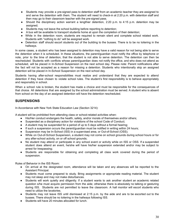- Students may provide a pre-signed pass to detention staff from an academic teacher they are assigned to and serve the detention with them. The student will need to check-in at 2:20 p.m. with detention staff and then may go to their classroom teacher with the pre-signed pass.
- Should the disciplinary action warrant a lengthier detention, 2:20 p.m. to 4:15 p.m. detention may be assigned;
- Students may not leave the school building before reporting to detention;
- A bus will be available to transport students home at upon the completion of their detention;
- While in the detention room, students are required to remain silent and complete school related work. Students with "nothing to do" will be assigned work.
- Detention staff should escort students out of the building to the busses. There is to be no loitering in the hallways.

In some cases, a student who has been assigned to detention may have a valid reason for not being able to serve the detention when it is scheduled. In these situations, the parent/guardian must notify the office by telephone or note, prior to the time of detention, that the student is not able to serve detention. The detention can then be rescheduled. Students with conflicts whose parent/guardian does not notify the office, and who does not attend as scheduled, will be placed in In-School Suspension on the next school day. Please note: Parent notifications after the fact will not be accepted as a reason for missing a detention. Students who intentionally skip an assigned detention will be placed in In-School Suspension on the next school day.

Students having after-school responsibilities must realize and understand that they are expected to attend detention if they have chosen to violate school rules. The student's first responsibility is to behave appropriately and responsibly in school.

When a school rule is broken, the student has made a choice and must be responsible for the consequences of that choice. All detentions that are assigned by the school administration must be served. A student who is absent from school on the day of an assigned detention will have the detention rescheduled.

#### **SUSPENSIONS**

In Accordance with New York State Education Law (Section 3214):

A student will be prohibited from attending class or school-related activities when:

- His/Her conduct endangers the health, safety, and/or morals of themselves and/or others;
- Suspended as a disciplinary action for violations of the school Code of Conduct;
- A student may be suspended for a period of up to 5 days without a formal hearing;
- If such a suspension occurs the parent/guardian must be notified in writing within 24 hours;
- Suspension may be In-School (ISS) in a supervised area, or Out-of-School (OSS);
- While on Out-of-School Suspension, a student may not come on school grounds during school hours or for any after-school activity, on or off school grounds;
- No student may attend or participate in any school event or activity while on ISS or OSS. If a suspended student does attend an event, he/she will have his/her suspension extended and/or may be subject to arrest for trespassing;
- Students are responsible for obtaining and completing all class work covered during the period of suspension.

Rules of Behavior in the ISS Room:

- On arrival at the designated room, attendance will be taken and any absences will be reported to the Assistant Principal.
- Students must come prepared to study. Bring assignments or appropriate reading material. The student may not sleep and may not make disturbances.
- Students will work quietly and diligently. If a student wants to ask another student an academic related question s/he must acquire permission from the aide; otherwise there is absolutely no talking or gesturing during ISS. Students are not permitted to leave the classroom. A hall monitor will escort students who need to utilize the lavatories.
- Students may not leave ISS until dismissed at 2:15 p.m. by the aide and are to be escorted out to the busses. There should be no loitering in the hallways following ISS.
- Students will have 20 minutes allocated for lunch.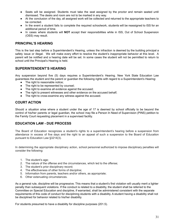- Seats will be assigned. Students must take the seat assigned by the proctor and remain seated until dismissed. The desks and room are not to be marked in any way.
- At the conclusion of the day, all assigned work will be collected and returned to the appropriate teachers to be corrected.
- In the event a student fails to complete the required schoolwork, students will be reassigned to ISS for an additional period of time.
- In cases where students will **NOT** accept their responsibilities while in ISS, Out of School Suspension (OSS) may result.

#### **PRINCIPAL'S HEARING**

This is the last step before a Superintendent's Hearing, unless the infraction is deemed by the building principal a safety issue or illegal. We will make every effort to resolve the student's inappropriate behavior at this level. A parent will be notified and a hearing date will be set. In some cases the student will not be permitted to return to school until the Principal's Hearing is held.

#### **SUPERINTENDENT'S HEARING**

Any suspension beyond five (5) days requires a Superintendent's Hearing. New York State Education Law guarantees the student and the parent or guardian the following rights with regard to a Superintendent's Hearing:

- The right to reasonable notice;
- The right to be represented by counsel;
- The right to examine all evidence against the accused;
- The right to present witnesses and other evidence on the accused behalf;
- The right to cross-examine any witness against the accused.

#### **COURT ACTION**

Should a situation arise where a student under the age of 17 is deemed by school officially to be beyond the control of his/her parents or legal guardian, the school may file a Person In Need of Supervision (PINS) petition to the Family Court requesting placement in a supervised facility.

#### **EDUCATION LAW - DUE PROCESS**

The Board of Education recognizes a student's rights to a superintendent's hearing before a suspension from attendance in excess of five days and the right to an appeal of such a suspension to the Board of Education pursuant to Education Law §3214(3).

In determining the appropriate disciplinary action, school personnel authorized to impose disciplinary penalties will consider the following:

- 1. The student's age;
- 2. The nature of the offense and the circumstances, which led to the offense;
- 3. The student's prior disciplinary record;
- 4. The effectiveness of other forms of discipline;
- 5. Information from parents, teachers and/or others, as appropriate;
- 6. Other extenuating circumstances.

As a general rule, discipline will be progressive. This means that a student's first violation will usually merit a lighter penalty than subsequent violations. If the conduct is related to a disability, the student shall be referred to the Committee on Special Education and discipline, if warranted, shall be administered consistent with the separate requirements of this code of conduct for disciplining students with a disability. A student having a disability shall not be disciplined for behavior related to his/her disability.

For students presumed to have a disability for discipline purposes (201.5).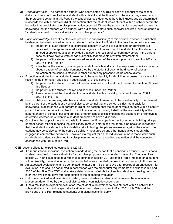- a) *General provision:* The parent of a student who has violated any rule or code of conduct of the school district and was not identified as a student with a disability at the time of such behavior may assert any of the protections set forth in this Part, if the school district is deemed to have had knowledge as determined in accordance with subdivision (b) of this section, that the student was a student with a disability before the behavior that precipitated the disciplinary action occurred. Where the school district is deemed to have had knowledge that the student was a student with a disability before such behavior occurred, such student is a "student presumed to have a disability for discipline purposes."
- b) *Basis of knowledge.* Except as otherwise provided in subdivision (c) of this section, a school district shall be deemed to have knowledge that such student had a disability if prior to the time the behavior occurred:
	- 1) the parent of such student has expressed concern in writing to supervisory or administrative personnel of the appropriate educational agency or to a teacher of the student that the student is in need of special education, provided that such expression of concern may be oral if the parent does not know how to write or has a disability that prevents a written statement; or
	- 2) the parent of the student has requested an evaluation of the student pursuant to section 200.4 or 200.16 of this Title; or
	- 3) a teacher of the student, or other personnel of the school district, has expressed specific concerns about a pattern of behavior demonstrated by the student directly to the director of special education of the school district or to other supervisory personnel of the school district.
- c) Exception. A student is not a student presumed to have a disability for discipline purposes if, as a result of receiving the information specified in subdivision (b) of this section:
	- 1) the parent of the student has not allowed an evaluation of the student pursuant to section 200.4 of this Title; or
	- 2) the parent of the student has refused services under this Part; or
	- 3) it was determined that the student is not a student with a disability pursuant to section 200.4 or 200.16 of this Title.
- d) Responsibility for determining whether a student is a student presumed to have a disability. If it is claimed by the parent of the student or by school district personnel that the school district had a basis for knowledge, in accordance with paragraph (b) of this section, that the student was a student with a disability prior to the time the behavior subject to disciplinary action occurred, it shall be the responsibility of the superintendent of schools, building principal or other school official imposing the suspension or removal to determine whether the student is a student presumed to have a disability.
- e) Conditions that apply if there is no basis for knowledge. If the superintendent of schools, building principal or other school official imposing the disciplinary removal determines that there is no basis for knowledge that the student is a student with a disability prior to taking disciplinary measures against the student, the student may be subjected to the same disciplinary measures as any other nondisabled student who engaged in comparable behaviors. However, if a request for an individual evaluation is made while such nondisabled student is subjected to a disciplinary removal, an expedited evaluation shall be conducted in accordance with 201.6 of this Part.

CSE responsibilities for expedited evaluations (201.6).

- a) If a request for an individual evaluation is made during the period that a nondisabled student, who is not a student presumed to have a disability for discipline purposes, is suspended pursuant to Education Law section 3214 or is subjected to a removal as defined in section 201.2(l) of this Part if imposed on a student with a disability, the evaluation must be conducted in an expedited manner in accordance with this section.
- b) An expedited evaluation shall be completed no later than 15 school days after receipt of parent consent for evaluation, and shall be conducted in accordance with the procedural requirements of sections 200.4 and 200.5 of this Title. The CSE shall make a determination of eligibility of such student in a meeting held no later than five school days after completion of the expedited evaluation.
- c) Until the expedited evaluation is completed, the nondisabled student shall remain in the educational placement determined by the school district, which can include suspension.
- d) If, as a result of an expedited evaluation, the student is determined to be a student with a disability, the school district shall provide special education to the student pursuant to Part 200 of this Title and the provisions of this Part relating to students with disabilities shall apply.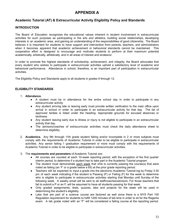## **APPENDIX A**

#### **Academic Tutorial (AT) & Extracurricular Activity Eligibility Policy and Standards**

#### **INTRODUCTION**

The Board of Education recognizes the educational values inherent in student involvement in extracurricular activities for such purposes as participating in the arts and athletics, building social relationships, developing interests in an academic area, and gaining an understanding of the responsibilities of good citizenship. The Board believes it is important for students to have support and intervention from parents, teachers, and administrators when it becomes apparent that academic achievement or behavioral standards cannot be maintained. This cooperative effort is designed to encourage and motivate students to perform at their maximum potential academically, artistically, athletically, and in all areas of interest and endeavor.

In order to promote the highest standards of scholarship, achievement, and integrity, the Board advocates that every student who wishes to participate in extracurricular activities uphold a satisfactory level of academic and behavioral performance. Attendance in school, therefore, is an important part of participation in extracurricular activities.

The Eligibility Policy and Standards apply to all students in grades 9 through 12.

#### **ELIGIBILITY STANDARDS**

- 1. **Attendance.**
	- A student must be in attendance for the entire school day in order to participate in any extracurricular activity.
	- Any student arriving late or leaving early must provide written verification to the main office upon arrival in school in order to participate in an extracurricular activity for that day. The list of approved tardies is listed under the heading- Appropriate grounds for excused absences or tardiness.
	- Any student leaving early due to illness or injury is not eligible to participate in an extracurricular activity that day.
	- The advisors/coaches of extracurricular activities must check the daily attendance sheet to determine eligibility.
- 2. **Academics.** Any 9th through 11th grade student failing and/or incomplete in 2 or more subjects must comply with the requirements of Academic Tutorial in order to be eligible to participate in extracurricular activities. Any senior failing 1 graduation requirement or more must comply with the requirements of Academic Tutorial in order to be eligible to participate in extracurricular activities.
- 3. The **requirements and parameters** of Academic Tutorial are:
	- All courses are counted at each 10-week reporting period, with the exception of the first quarter interim period, to determine if a student has to take part in the Academic Tutorial program.
	- The student must demonstrate each week that s/he is currently passing the course(s) that were noted as failing (an 'F' or a grade below a 65) at the prior grade reporting period.
	- Teachers will be expected to input a grade into the electronic Academic Tutorial log by Friday 3:30 pm of each week indicating if the student is Passing (P) or Failing (F) for the week to determine who is eligible to participate in extracurricular activities starting that Monday until Sunday of the following week. A weekly email will be sent to all staff/coaches/advisors. For those teachers that fail to submit a P or an F, will be assumed to have all students passing for that week.
	- Only graded assignments, tests, quizzes, labs and projects for the week will be used in determining the student's eligibility.
	- Labs that are part of a science course are factored as well since there is a NYS Part 100 Regulation requirement for students to fulfill 1200 minutes of lab time in order to sit for the Regents exam. A lab grade noted with an "F" will be considered a failing course at the reporting period.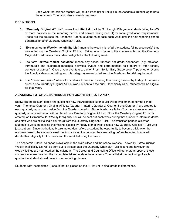Each week the science teacher will input a Pass (P) or Fail (F) in the Academic Tutorial log to note the Academic Tutorial student's weekly progress.

#### **DEFINITIONS**

- **1.** "**Quarterly Original AT List**" means the **initial list** of all the 9th though 11th grade students failing two (2) or more courses at the reporting period and seniors failing one (1) or more graduation requirements. These are the courses the Academic Tutorial student must pass each week until the next reporting period generates another Quarterly Original AT List.
- **2.** "**Extracurricular Weekly Ineligibility List**" means the weekly list of all the students failing a course(s) that was noted on the Quarterly Original AT List. Failing one or more of the courses noted on the Quarterly Original AT List makes the student ineligible for the following week.
- **3.** The term "**extracurricular activities**" means any school function not grade dependent (*e.g.* athletics, intramurals and club/group meetings, activities, tryouts and performances held before or after school, contests or games.) Once a year events (*i.e.* Junior Prom, Senior Ball, Grade Level Trips or other events the Principal deems as falling into this category) are excluded from the Academic Tutorial requirement.
- **4.** The "**transition period**" allows for students to work on passing their failing classes by Friday of that week since a new Quarterly Original AT List was just sent out the prior. Technically all AT students will be eligible for that week.

#### **ACADEMIC TUTORIAL SCHEDULE FOR QUARTER 1, 2, 3 AND 4**

Below are the relevant dates and guidelines how the Academic Tutorial List will be implemented for the school year. The noted Quarterly Original AT Lists (Quarter 1 Interim, Quarter 2, Quarter 3 and Quarter 4) are created for each quarterly report card, aside from the Quarter 1 interim. Students who are failing 2 or more classes on each quarterly report card period will be placed on a Quarterly Original AT List. Once the Quarterly Original AT List is created, an Extracurricular Weekly Ineligibility List will be sent out each week during that quarter to inform students and staff who are still failing a course(s) from the Quarterly Original AT List. The transition periods allow for students to work on passing their failing classes by Friday of that week since a new Quarterly Original AT List was just sent out. Since the holiday breaks noted don't afford a student the opportunity to become eligible for the upcoming week, the student's week performance on the courses they are failing before the noted breaks will dictate their eligibility for the break and the week following the break.

The Academic Tutorial calendar is available in the Main Office and the school website. A weekly Extracurricular Weekly Ineligibility List will be sent out to all staff after the Quarterly Original AT List is sent out, however the weekly listings are not noted on the calendar. The Career and Counseling Office will generate a report of those students who are noted on the incomplete list and update the Academic Tutorial list at the beginning of each quarter if a student should have 2 or more failing classes.

Students with incompletes (I) should not be placed on the AT list until a final grade is determined.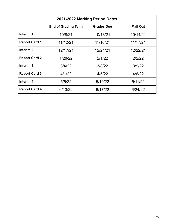| 2021-2022 Marking Period Dates |                            |                   |                 |  |
|--------------------------------|----------------------------|-------------------|-----------------|--|
|                                | <b>End of Grading Term</b> | <b>Grades Due</b> | <b>Mail Out</b> |  |
| Interim 1                      | 10/8/21                    | 10/13/21          | 10/14/21        |  |
| <b>Report Card 1</b>           | 11/12/21                   | 11/16/21          | 11/17/21        |  |
| Interim <sub>2</sub>           | 12/17/21                   | 12/21/21          | 12/22/21        |  |
| <b>Report Card 2</b>           | 1/28/22                    | 2/1/22            | 2/2/22          |  |
| Interim <sub>3</sub>           | 3/4/22                     | 3/8/22            | 3/9/22          |  |
| <b>Report Card 3</b>           | 4/1/22                     | 4/5/22            | 4/6/22          |  |
| Interim <sub>4</sub>           | 5/6/22                     | 5/10/22           | 5/11/22         |  |
| <b>Report Card 4</b>           | 6/13/22                    | 6/17/22           | 6/24/22         |  |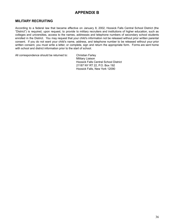## **APPENDIX B**

#### **MILITARY RECRUITING**

According to a federal law that became effective on January 8, 2002, Hoosick Falls Central School District (the "District") is required, upon request, to provide to military recruiters and institutions of higher education, such as colleges and universities, access to the names, addresses and telephone numbers of secondary school students enrolled in the District. You may request that your child's information not be released without prior written parental consent. If you do not want your child's name, address, and telephone number to be released without your prior written consent, you must write a letter, or complete, sign and return the appropriate form. Forms are sent home with school and district information prior to the start of school.

All correspondence should be returned to: Christian Farley

Military Liaison Hoosick Falls Central School District 21187 NY RT 22, P.O. Box 192 Hoosick Falls, New York 12090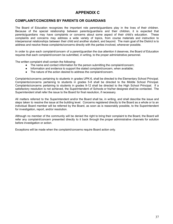## **APPENDIX C**

#### **COMPLAINT/CONCERNS BY PARENTS OR GUARDIANS**

The Board of Education recognizes the important role parents/guardians play in the lives of their children. Because of the special relationship between parents/guardians and their children, it is expected that parents/guardians may have complaints or concerns about some aspect of their child's education. These complaints and concerns may address a wide variety of topics, from course materials and instruction to interpersonal relationships between their child and another student, and beyond. The main goal of the District is to address and resolve these complaints/concerns directly with the parties involved, whenever possible.

In order to give each complaint/concern of a parent/guardian the due attention it deserves, the Board of Education requires that each complaint/concern be submitted, in writing, to the proper administrative personnel.

The written complaint shall contain the following:

- The name and contact information for the person submitting the complaint/concern;
- Information and evidence to support the stated complaint/concern, when available;
- The nature of the action desired to address the complaint/concern.

Complaints/concerns pertaining to students in grades UPK-6, shall be directed to the Elementary School Principal. Complaints/concerns pertaining to students in grades 5-8 shall be directed to the Middle School Principal. Complaints/concerns pertaining to students in grades 9-12 shall be directed to the High School Principal. If a satisfactory resolution is not achieved, the Superintendent of Schools or his/her designee shall be contacted. The Superintendent shall refer the issue to the Board for final resolution, if necessary.

All matters referred to the Superintendent and/or the Board shall be, in writing, and shall describe the issue and steps taken to resolve the issue at the building level. Concerns registered directly to the Board as a whole or to an individual Board member will be referred by the Board, as soon as is reasonably possible, to the Superintendent for investigation, report, and/or resolution.

Although no member of the community will be denied the right to bring their complaint to the Board, the Board will refer any complaint/concern presented directly to it back through the proper administrative channels for solution before investigation or action.

Exceptions will be made when the complaint/concerns require Board action only.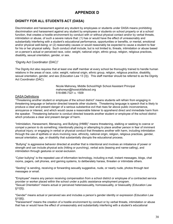## **APPENDIX D**

## **DIGNITY FOR ALL STUDENTS ACT (DASA)**

Discrimination and harassment against any student by employees or students under DASA means prohibiting discrimination and harassment against any student by employees or students on school property or at a school function, that creates a hostile environment by conduct with or without physical contact and/or by verbal threats, intimidation or abuse, of such a severe nature that: (1) has or would have the effect of unreasonably and substantially interfering with a student's educational performance, opportunities or benefits, or mental, emotional and/or physical well-being; or (2) reasonably causes or would reasonably be expected to cause a student to fear for his or her physical safety. Such conduct shall include, but is not limited to, threats, intimidation or abuse based on a person's actual or perceived race, color, weight, national origin, ethnic group, religion, religious practices, disability, sexual orientation, gender, or sex.

#### "Dignity Act Coordinator (DAC)"

The Dignity Act also requires that at least one staff member at every school be thoroughly trained to handle human relations in the areas of race, color, weight, national origin, ethnic group, religion, religious practice, disability, sexual orientation, gender, and sex (Education Law 13 {3}). This staff member should be referred to as the Dignity Act Coordinator (DAC).

> Nicole Mahoney, Middle School/High School Assistant Principal mahoneyn@hoosickfallscsd.org 518-686-7321 x. 1509

#### DASA Definitions

"Threatening another student or employee of the school district" means students will refrain from engaging in threatening language or behavior directed towards other students. Threatening language is speech that is likely to produce a clear and present danger of a serious substantive evil that rises far above public inconvenience, annoyance or interest, and which would cause a reasonable listener to apprehend direct and immediate harm from the speaker. Threatening behavior is conduct directed towards another student or employee of the school district which produces a clear and present danger of harm.

"Intimidation, Harassment, Menacing, and Bullying (IHMB)" means threatening, stalking or seeking to coerce or compel a person to do something; intentionally placing or attempting to place another person in fear of imminent physical injury; or engaging in verbal or physical conduct that threatens another with harm, including intimidation through the use of epithets or slurs involving race, ethnicity, national origin, religion, religious practices, gender, sexual orientation, age, or disability that substantially disrupts the educational process.

"Bullying" is aggressive behavior directed at another that is intentional and involves an imbalance of power or strength and can include physical acts (hitting or punching), verbal acts (teasing and name-calling), and intimidation through gestures or social exclusion.

"Cyber bullying" is the repeated use of information technology, including e-mail, instant messages, blogs, chat rooms, pagers, cell phones, and gaming systems, to deliberately harass, threaten or intimidate others.

"Sexting" is sending, receiving or forwarding sexually suggestive, nude, or nearly nude, photos through text messages or email.

"Employee" means any person receiving compensation from a school district or employee of a contracted service provider or worker placed within the school under a public assistance employment program. "Sexual Orientation" means actual or perceived heterosexuality, homosexuality, or bisexuality (Education Law §11[5]).

"Gender" means actual or perceived sex and includes a person's gender identity or expression (Education Law §11[6]).

"Harassment" means the creation of a hostile environment by conduct or by verbal threats, intimidation or abuse that has or would have the effect of unreasonably and substantially interfering with a student's educational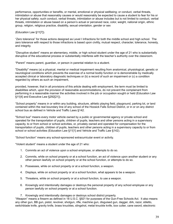performance, opportunities or benefits, or mental, emotional or physical wellbeing; or conduct, verbal threats, intimidation or abuse that reasonably causes or would reasonably be expected to cause a student to fear for his or her physical safety; such conduct, verbal threats, intimidation or abuse includes but is not limited to conduct, verbal threats, intimidation or abuse based on a person's actual or perceived race, color, weight, national origin, ethnic group, religion, religious practice, disability, sexual orientation, gender or sex

(Education Law §11[7]).

"Zero tolerance" for those actions designed as Level I Infractions for both the middle school and high school. The zero tolerance with respect to those infractions is based upon civility, mutual respect, character, tolerance, honesty, and integrity.

"Disruptive student" means an elementary, middle, or high school student under the age of 21 who is substantially disruptive of the educational process or substantially interferes with the teacher's authority over the classroom.

"Parent" means parent, guardian, or person in parental relation to a student.

"Disability" means (a) a physical, mental or medical impairment resulting from anatomical, physiological, genetic or neurological conditions which prevents the exercise of a normal bodily function or is demonstrable by medically accepted clinical or laboratory diagnostic techniques or (b) a record of such an impairment or (c) a condition regarded by others as such an impairment,

provided, however, that in all provisions of this article dealing with employment, the term must be limited to disabilities which, upon the provision of reasonable accommodations, do not prevent the complainant from performing in a reasonable manner the activities involved in the job or occupation sought or held (Education Law §11[4] and Executive Law §292[21]).

"School property" means in or within any building, structure, athletic playing field, playground, parking lot, or land contained within the real boundary line of any school of the Hoosick Falls School District, or in or on any district school bus as defined in Vehicle and Traffic Laws §142.

"School bus" means every motor vehicle owned by a public or governmental agency or private school and operated for the transportation of pupils, children of pupils, teachers and other persons acting in a supervisory capacity, to or from school or school activities, or, privately owned and operated for compensation for the transportation of pupils, children of pupils, teachers and other persons acting in a supervisory capacity to or from school or school activities (Education Law §11[1] and Vehicle and Traffic Law §142).

"School function" means any school-sponsored extracurricular event or activity.

"Violent student" means a student under the age of 21 who:

- 1. Commits an act of violence upon a school employee, or attempts to do so.
- 2. Commits, while on school property or at a school function, an act of violence upon another student or any other person lawfully on school property or at the school function, or attempts to do so.
- 3. Possesses, while on school property or at a school function, a weapon.
- 4. Displays, while on school property or at a school function, what appears to be a weapon.
- 5. Threatens, while on school property or at a school function, to use a weapon.
- 6. Knowingly and intentionally damages or destroys the personal property of any school employee or any person lawfully on school property or at a school function.
- 7. Knowingly and intentionally damages or destroys school district property.

"Weapon" means a firearm as defined in 18 U.S.C. §921 for purposes of the Gun-Free Schools Act. It also means any other gun, BB gun, pistol, revolver, shotgun, rifle, machine gun, disguised gun, dagger, dirk, razor, stiletto, switchblade knife, gravity knife, brass knuckles, slingshot, metal knuckle knife, box cutter, cane sword, electronic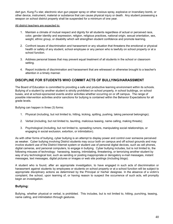dart gun, Kung Fu star, electronic stun gun pepper spray or other noxious spray, explosive or incendiary bomb, or other device, instrument, material or substance that can cause physical injury or death. Any student possessing a weapon on school district property shall be suspended for a minimum of one year.

#### All district teachers are expected to:

- 1. Maintain a climate of mutual respect and dignity for all students regardless of actual or perceived race, color, gender identity and expression, religion, religious practices, national origin, sexual orientation, sex, weight, ethnic group, or disability which will strengthen student confidence and promote learning.
- 2. Confront issues of discrimination and harassment or any situation that threatens the emotional or physical health or safety of any student, school employee or any person who is lawfully on school property or at a school function.
- 3. Address personal biases that may prevent equal treatment of all students in the school or classroom setting.
- 4. Report incidents of discrimination and harassment that are witnessed or otherwise brought to a teacher's attention in a timely manner.

#### **DISCIPLINE FOR STUDENTS WHO COMMIT ACTS OF BULLYING/HARASSMENT**

The Board of Education is committed to providing a safe and productive learning environment within its schools. Bullying of a student by another student is strictly prohibited on school property, in school buildings, on school buses, and at school-sponsored events and/or activities whether occurring on or off campus. The range of possible intervention activities and/or sanctions for bullying is contained within the Behavior Expectations for all grade levels.

Bullying can happen in three (3) forms:

- 1. Physical (including, but not limited to, hitting, kicking, spitting, pushing, taking personal belongings);
- 2. Verbal (including, but not limited to, taunting, malicious teasing, name calling, making threats);
- 3. Psychological (including, but not limited to, spreading rumors, manipulating social relationships, or engaging in social exclusion, extortion, or intimidation).

As with other forms of bullying, cyber bullying is an attempt to display power and control over someone perceived as weaker. Cyber bullying involving District students may occur both on campus and off school grounds and may involve student use of the District Internet system or student use of personal digital devices, such as cell phones, digital cameras, and personal computers, to engage in bullying. Cyber bullying includes, but is not limited to, the following misuses of technology: harassing, teasing, intimidating, threatening, or terrorizing another student by way of any technological tool, such as sending or posting inappropriate or derogatory e-mail messages, instant messages, text messages, digital pictures or images or web site postings (including blogs).

A student who is found, after an appropriate investigation, to have engaged in such acts of discrimination or harassment against students by employees or students on school property or at a school function will be subject to appropriate disciplinary actions as determined by the Principal or his/her designee. In the absence of a victim's complaint, the school, upon learning of, or having reason to suspect the occurrence of such acts, will promptly begin an investigation.

#### **Bullying:**

Bullying, whether physical or verbal, is prohibited. This includes, but is not limited to, hitting, punching, teasing, name calling, and intimidation through gestures.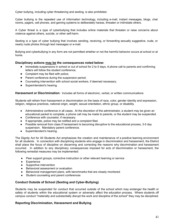Cyber bullying, including cyber threatening and sexting, is also prohibited.

Cyber bullying is the repeated use of information technology, including e-mail, instant messages, blogs, chat rooms, pagers, cell phones, and gaming systems to deliberately harass, threaten or intimidate others.

A Cyber threat is a type of cyberbullying that includes online materials that threaten or raise concerns about violence against others, suicide, or other self-harm.

Sexting is a type of cyber bullying that involves sending, receiving, or forwarding sexually suggestive, nude, or nearly nude photos through text messages or e-mail.

Bullying and cyberbullying in any form are not permitted whether or not the harmful behavior occurs at school or at home.

#### **Disciplinary actions may be the consequences noted below:**

- Immediate suspensions in school or out of school for 2 to 5 days. A phone call to parents and confirming letters will follow the student conference;
- Complaint may be filed with police;
- Parent conference during the suspension period;
- Counseling intervention with school social workers, if deemed necessary;
- Superintendent's hearing.

#### **Harassment or Discrimination:** Includes all forms of electronic, verbal, or written communications

Students will refrain from harassment or discrimination on the basis of race, color, gender identity and expression, religion, religious practices, national origin, weight, sexual orientation, ethnic group, or disability.

- Administrative conference in all cases. At the discretion of the administrator, a student may be given an educational packet to complete, a phone call may be made to parents, or the student may be suspended.
- Conference with counselor, if necessary.
- If appropriate, police may be notified and a complaint filed.
- Possible removal from class if harassment is becoming disruptive to the educational process, 3-5 day suspension. Mandatory parent conference.
- Superintendent's hearing.

The Dignity Act for All Students Act emphasizes the creation and maintenance of a positive learning environment for all students. In connection with disciplining students who engage in discrimination and harassment, the District shall place the focus of discipline on discerning and correcting the reasons why discrimination and harassment occurred. In addition to any disciplinary consequences imposed for acts of discrimination or harassment, the following remedial measures may be implemented:

- Peer support groups; corrective instruction or other relevant learning or service
- Experience
- Supportive intervention
- Behavioral assessment or evaluation
- Behavioral management plans, with benchmarks that are closely monitored
- Student counseling and parent conferences

#### **Conduct Outside of School (Sexting and Cyber-Bullying)**

Students may be suspended for conduct that occurred outside of the school which may endanger the health or safety of students within the educational system or adversely affect the education process. Where students off campus conduct "materially and substantially disrupt the work and discipline of the school" they may be disciplined.

#### **Reporting Discrimination, Harassment and Bullying**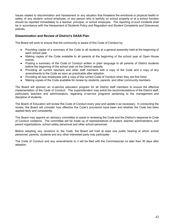Issues related to discrimination and harassment or any situation that threatens the emotional or physical health or safety of any student, school employee, or any person who is lawfully on school property or at a school function should be reported immediately to a teacher, principal, or school employee. The reporting of such incidents shall be in accordance with the Harassment of Students Policy and Regulation and Student Complaints and Grievances policies.

#### **Dissemination and Review of District's DASA Plan**

The Board will work to ensure that the community is aware of this Code of Conduct by:

- Providing copies of a summary of the Code to all students at a general assembly held at the beginning of each school year.
- Making copies of the Code available to all parents at the beginning of the school year at Open House events.
- Posting a summary of the Code of Conduct written in plain language to all parents of District students before the beginning of the school year on the District website.
- Providing all current teachers and other staff members with a copy of the Code and a copy of any amendments to the Code as soon as practicable after adoption.
- Providing all new employees with a copy of the current Code of Conduct when they are first hired.
- Making copies of the Code available for review by students, parents, and other community members.

The Board will sponsor an in-service education program for all District staff members to ensure the effective implementation of the Code of Conduct. The superintendent may solicit the recommendations of the District staff, particularly teachers and administrators, regarding in-service programs pertaining to the management and discipline of students.

The Board of Education will review this Code of Conduct every year and update it as necessary. In conducting the review, the Board will consider how effective the Code's provisions have been and whether the Code has been applied fairly and consistently.

The Board may appoint an advisory committee to assist in reviewing the Code and the District's response to Code of Conduct violations. The committee will be made up of representatives of student, teacher, administrators, and parent organizations, school safety personnel and other school personnel.

Before adopting any revisions to the Code, the Board will hold at least one public hearing at which school personnel, parents, students and any other interested party may participate.

The Code of Conduct and any amendments to it will be filed with the Commissioner no later than 30 days after adoption.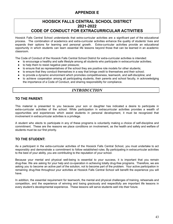## **APPENDIX E**

## **HOOSICK FALLS CENTRAL SCHOOL DISTRICT 2021-2022 CODE OF CONDUCT FOR EXTRACURRICULAR ACTIVITIES**

Hoosick Falls Central School understands that extra-curricular activities are a significant part of the educational process. The combination of academics and extra-curricular activities enhance the quality of students' lives and expands their options for learning and personal growth. Extra-curricular activities provide an educational opportunity in which students can learn essential life lessons beyond those that can be learned in an academic classroom.

The Code of Conduct of the Hoosick Falls Central School District for extra-curricular activities is intended:

- to encourage a healthy and safe lifestyle among all students who participate in extracurricular activities;
- to help them to resist negative peer pressure;
- to ensure that as representatives of the school they are positive role models for other students;
- to ensure that they conduct themselves in a way that brings credit to themselves and their school;
- to provide a dynamic environment which promotes competitiveness, teamwork, and self-discipline; and
- to achieve cooperation among all participating students, their parents and school faculty, in acknowledging the importance of a Code of Conduct, and sharing responsibility for compliance.

#### *INTRODUCTION*

#### **TO THE PARENT:**

This material is presented to you because your son or daughter has indicated a desire to participate in extra-curricular activities of the school. While participation in extracurricular activities provides a wealth of opportunities and experiences which assist students in personal development, it must be recognized that involvement in extracurricular activities is a privilege.

A student who elects to participate in any of these programs is voluntarily making a choice of self-discipline and commitment. These are the reasons we place conditions on involvement, as the health and safety and welfare of students must be our first priority.

#### **TO THE STUDENT:**

As a participant in the extra-curricular activities of the Hoosick Falls Central School, you must undertake to act responsibly and demonstrate a commitment to follow established rules. By participating in extracurricular activities to the best of your ability, you are contributing to the reputation of your school.

Because your mental and physical well-being is essential to your success, it is important that you remain drug-free. We are asking for your help and co-operation in achieving totally drug-free programs. Therefore, we are asking you to become an active part of the solution, not to become part of the problem. Your active participation in remaining drug-free throughout your activities at Hoosick Falls Central School will benefit the experience you will have.

In addition, the essential requirement for teamwork, the mental and physical challenges of training, rehearsals and competition, and the experience of winning and losing graciously and respectfully are important life lessons in every student's developmental experience. These lessons will serve students well into their future.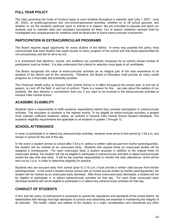#### **FULL YEAR POLICY**

The rules governing the Code of Conduct apply to such students throughout a calendar year (July 1, 2021 - June 30, 2022), at school-sponsored and non-school-sponsored activities, whether on or off school grounds, and whether or not the student's particular sport or activity is in season. We are entrusted to educate and teach our students and to maintain clear and consistent boundaries for them. Out of season violations reported shall be investigated and consequences for violations shall be faced prior to future extra-curricular involvement.

#### **PARTICIPATION IN EXTRACURRICULAR PROGRAMS**

The Board requires equal opportunity for every student of the district. In every way possible this policy must communicate that each student has equal access to every program of the school and that those opportunities be non-exclusionary and fair for all to try out.

It is understood that elections, tryouts, and auditions are sometimes necessary for an activity whose number of participants must be limited. It is also understood that criteria for selection must apply to all candidates.

The Board recognizes the value of extra-curricular activities as an integral part of the total experience to all students of the district and to the community. Therefore, the Board of Education shall provide as many varied programs as is financially and practically possible.

The Chemical Health policy at Hoosick Falls Central School is in effect throughout the school year, in and out of season, on and off the field, in and out of uniform. There is a reason for this… we care about the welfare of our students. We also demand a commitment from you if you want to be involved in the extracurricular activities at Hoosick Falls Central School.

#### **ACADEMIC ELIGIBILITY**

Students have a responsibility to fulfill academic expectations before they consider participation in extracurricular activities. The education of students is the highest priority. To be eligible for extra-curricular activities, a student must maintain sufficient academic status, as outlined in Hoosick Falls Central School Student Handbook. The academic eligibility requirements are applicable to all students in grades 7 through 12.

#### **SCHOOL ATTENDANCE**

In order to participate in or attend any extracurricular activities, students must arrive to first period by 7:42 a.m. and remain in school for the rest of the day.

In the event a student arrives to school after 7:42 a.m. without a written valid excuse from his/her parent/guardian, the student will be marked as an unexcused tardy. Students who acquire three (3) unexcused tardies will be assigned a consequence. For each unexcused tardy a student acquires in addition to the original three (3) unexcused tardies, the student will not be eligible to participate in extracurricular activities or attend extracurricular events the day s/he was tardy. It will be the coaches responsibility to monitor the daily attendance, which will be sent out by 2 p.m. in order to determine eligibility for practice.

Students who are excused early from school (prior to 2:15 p.m.) must provide a written valid excuse from his/her parent/guardian. In the event a student leaves school with an invalid excuse written by his/her parent/guardian, the student will be marked as an unexcused early dismissal. After three unexcused early dismissals, a student will not be eligible to participate in or attend extracurricular activities for that day. For each three unexcused early dismissal students will not be eligible to participate in or attend any extracurricular activities for that day.

#### **CONDUCT OF STUDENTS**

A firm and fair policy of enforcement is necessary to uphold the regulations and standards of the school district. All stakeholders feel strongly that high standards of conduct and citizenship are essential in maintaining the integrity of all activities. The health, safety and welfare of the student, is a major consideration and transcends any other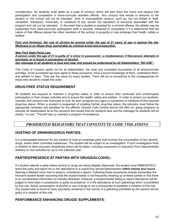consideration. All students shall abide by a code of conduct, which will earn them the honor and respect that participation and competition in extra-curricular activities affords. Any conduct that results in dishonor to the student or the school will not be tolerated. Acts of unacceptable conduct, such as, but not limited to theft, vandalism, disrespect, immorality or violations of law, tarnish the reputation of everyone associated with the program and will not be tolerated. In the event that a student is arrested for a criminal offense, the athlete may be suspended from extra-curricular participation both in practice, rehearsal or competition if it is determined that the nature of that offense places the other members of the activity in jeopardy or may endanger their health, safety or welfare.

#### First and foremost, the use of alcohol by anyone under the age of 21 years of age is against the law. *Marijuana is an illegal drug, punishable by criminal arrest and prosecution.*

#### *New York State Penal Law:*

A person under the age of 21 is guilty of 'a minor in possession', a misdemeanor, if that person attempts to *purchase, or is found in possession of alcohol.* Our message to all students is loud and clear and should be understood by all Stakeholders "NO USE".

This Code of Conduct spells out for all stakeholders, the clear and consistent boundaries of all extracurricular activities. To be successful we must agree to these provisions, have a sound knowledge of them, understand them, and adhere to them. They are the same for every student. There will be no exceptions to the consequences for those who decide to violate this code.

#### **DRUG-FREE STATUS REQUIREMENT**

All students are required to maintain a drug-free status in order to ensure their continued and uninterrupted participation in their chosen activities and to ensure the health, safety and welfare. In order to protect our students, coaches and advisors are instructed to look for and recognize any signs or symptoms of violations of this required drug-free status. When a student is suspected of violating his/her drug-free status, the educator must follow the appropriate remedies and penalties for the offense. Hoosick Falls Central School will offer on- going programs to educate all stakeholders as to the concerns and issues that our students face and the message for students will be clearly, "no use". This will help us maintain a program of excellence.

## *PROHIBITED BEHAVIORS THAT CONSTITUTE CODE VIOLATIONS*

#### **HOSTING OF DRINKING/DRUG PARTIES:**

It is unacceptable behavior for any student to host an underage party that involves the consumption of any alcohol, drugs, and/or other controlled substances. The student will be subject to an investigation. If such investigation finds a violation to have occurred, disciplinary action will be taken, including suspension or expulsion from interscholastic athletics or club activities for up to one calendar year.

#### **PARTIES/PRESENCE AT PARTIES WITH DRUGS/ALCOHOL:**

If a student attends a party where alcohol or drugs are being illegally dispensed, the student must IMMEDIATELY leave the party and report his or her attendance to a coach/club advisor/administrator **within twenty four hours** (leaving a detailed voice mail or email is considered a report). Following these procedures exactly exonerates the innocent student-leader assuming that the student-leader is not frequently showing up at these parties or that there is no corroborative information to indicate otherwise. However, a student-leader failing to report attendance will be judged to have been in possession or guilty by presence. It is the attendance at such gatherings which is prohibited by this rule. Actual consumption of alcohol or use of drugs is not a prerequisite to establish a violation of this rule. Any student who is found to have voluntarily remained in the vicinity of a gathering prohibited by this section will be guilty of a violation of this rule

#### **PERFORMANCE ENHANCING DRUGS/ SUPPLEMENTS:**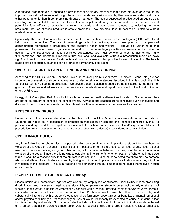A nutritional ergogenic aid is defined as any foodstuff or dietary procedure that either improves or is thought to improve physical performance. Although these compounds are easily available, they are unregulated and many either pose potential health compromising threats or dangers. The use of suspected or advertised ergogenic aids, including but not limited to Creatine or other nutritional supplements may be detrimental. Due to the serious and potentially fatal effects of anabolic/ androgenic steroids and their related compounds, including hormone precursors, the use of these products is strictly prohibited. They are also illegal to possess or distribute without medical documentation.

Specifically, the use of all anabolic steroids, diuretics and peptide hormones and analogues (HCG, ACTH and HGH) are to be avoided. The use of these drugs without a doctor-approved prescription and unsupervised administration represents a great risk to the student's health and welfare. It should be further noted that possession of many of these drugs is a felony and holds the same legal penalties as possession of cocaine. In addition to the illegal use of these controlled substances, you must be warned that the use of the many "Pro-hormones" and Hormone Precursors that are legal and available without a prescription may also have significant health consequences for students and may cause users to test positive for anabolic steroids. The health related effects of such substances can be lethal or permanently debilitating.

#### **OVER THE COUNTER PAIN RELIEVERS AND ENERGY DRINKS:**

According to the HFCS Student Handbook, over the counter pain relievers (Advil, Ibuprofen, Tylenol, etc.) are not to be in the possession of students at any time. Under certain circumstances described in the Handbook, the High School Nurse may dispense medications. Otherwise these medications should be administered by the parent or guardian. Coaches and advisors are to confiscate such medications and report the incident to the Athletic Director or to the Principal.

Energy drinks/gels (Red Bull, Amp, Full Throttle, etc.) are not healthy alternatives to water or Gatorade and they are not to be brought to school or to school events. Advisors and coaches are to confiscate such drinks/gels and dispose of them. Continued violation of this rule will result in more severe consequences for violators.

#### **PRESCRIPTION DRUGS:**

Under certain circumstances described in the Handbook, the High School Nurse may dispense medications. Students are not to be in possession of prescription medication on campus or at school sponsored events. All prescription drugs need to be registered for use with the school nurse by a parent and/or guardian. Misuse of prescription drugs (possession or use without a prescription from a doctor) is considered a code violation.

#### **CYBER IMAGE POLICY:**

Any identifiable image, photo, video, or posted online conversation which implicates a student to have been in violation of this Code of Conduct (including being in possession or in the presence of illegal drugs, illegal alcohol use, performance enhancing drugs, or tobacco use; out of character behavior or crime) shall be confirmation of a violation of the code. Since there is no way to establish a time frame for when or location of where the image was taken, it shall be a responsibility that the student must assume. It also must be noted that there may be persons who would attempt to implicate a student, by taking such images, to place them in a situation where they might be in violation of this standard. This is our rationale for demanding that our students do not place themselves in such environments.

#### **DIGNITY FOR ALL STUDENTS ACT (DASA):**

Discrimination and harassment against any student by employees or students under DASA means prohibiting discrimination and harassment against any student by employees or students on school property or at a school function, that creates a hostile environment by conduct with or without physical contact and/or by verbal threats, intimidation or abuse, of such a severe nature that: (1) has or would have the effect of unreasonably and substantially interfering with a student's educational performance, opportunities or benefits, or mental, emotional and/or physical well-being; or (2) reasonably causes or would reasonably be expected to cause a student to fear for his or her physical safety. Such conduct shall include, but is not limited to, threats, intimidation or abuse based on a person's actual or perceived race, color, weight, national origin, ethnic group, religion, religious practices,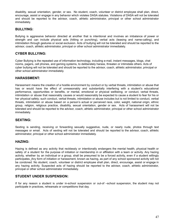disability, sexual orientation, gender, or sex. No student, coach, volunteer or district employee shall plan, direct, encourage, assist or engage in any behavior which violates DASA statutes. Violations of DASA will not be tolerated and should be reported to the advisor, coach, athletic administrator, principal or other school administrator immediately.

#### **BULLYING:**

Bullying is aggressive behavior directed at another that is intentional and involves an imbalance of power or strength and can include physical acts (hitting or punching), verbal acts (teasing and name-calling), and intimidation through gestures or social exclusion. Acts of bullying will not be tolerated and should be reported to the advisor, coach, athletic administrator, principal or other school administrator immediately.

#### **CYBER BULLYING:**

Cyber Bullying is the repeated use of information technology, including e-mail, instant messages, blogs, chat rooms, pagers, cell phones, and gaming systems, to deliberately harass, threaten or intimidate others. Acts of cyber bullying will not be tolerated and should be reported to the advisor, coach, athletic administrator, principal or other school administrator immediately.

#### **HARASSMENT:**

Harassment means the creation of a hostile environment by conduct or by verbal threats, intimidation or abuse that has or would have the effect of unreasonably and substantially interfering with a student's educational performance, opportunities or benefits, or mental, emotional or physical wellbeing; or conduct, verbal threats, intimidation or abuse that reasonably causes or would reasonably be expected to cause a student to fear for his or her physical safety; such conduct, verbal threats, intimidation or abuse includes but is not limited to conduct, verbal threats, intimidation or abuse based on a person's actual or perceived race, color, weight, national origin, ethnic group, religion, religious practice, disability, sexual orientation, gender or sex. Acts of harassment will not be tolerated and should be reported to the advisor, coach, athletic administrator, principal or other school administrator immediately.

#### **SEXTING:**

Sexting is sending, receiving or forwarding sexually suggestive, nude, or nearly nude, photos through text messages or email. Acts of sexting will not be tolerated and should be reported to the advisor, coach, athletic administrator, principal or other school administrator immediately.

#### **HAZING:**

Hazing is defined as any activity that recklessly or intentionally endangers the mental health, physical health or safety of a student for the purpose of initiation or membership in or affiliation with a team or activity. Any hazing activity, whether by an individual or a group, shall be presumed to be a forced activity, even if a student willingly participates. Any form of initiation or harassment, known as hazing, as part of any school sponsored activity will not be condoned. No student, coach, volunteer or district employee shall plan, direct, encourage, assist or engage in any hazing activity. Suspected acts of hazing should be reported to the advisor, coach, athletic administrator, principal or other school administrator immediately.

#### **STUDENT UNDER SUSPENSION:**

If for any reason a student is under in-school suspension or out-of –school suspension, the student may not participate in practices, rehearsals or competitions that day.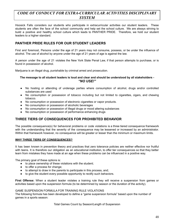## *CODE OF CONDUCT FOR EXTRA-CURRICULAR ACTIVITIES DISCIPLINARY SYSTEM*

Hoosick Falls considers our students who participate in extracurricular activities our student leaders. These students are often the face of the school community and help set the school culture. We are always striving to build a positive and healthy school culture which leads to PANTHER PRIDE. Therefore, we hold our student leaders to a higher standard.

#### **PANTHER PRIDE RULES FOR OUR STUDENT LEADERS**

First and foremost, Persons under the age of 21 years may not consume, possess, or be under the influence of alcohol. The use of alcohol by anyone under the age of 21 years of age is against the law.

A person under the age of 21 violates the New York State Penal Law, if that person attempts to purchase, or is found in possession of alcohol.

Marijuana is an illegal drug, punishable by criminal arrest and prosecution.

#### The message to all student leaders is loud and clear and should be understood by all stakeholders -*"NO USE!"*

- No hosting or attending of underage parties where consumption of alcohol, drugs and/or controlled substances are used
- No consumption or possession of tobacco including but not limited to cigarettes, cigars, and chewing tobacco.
- No consumption or possession of electronic cigarettes or vapor products.
- No consumption or possession of alcoholic beverages
- No consumption or possession of illegal drugs or mood altering substances
- No consumption or possession of performance enhancing drugs

#### **THREE TIERS OF CONSEQUENCES FOR PROHIBITED BEHAVIOR**

The possible consequence(s) for behavioral problems or code violations is a three tiered consequence framework with the understanding that the severity of the consequence may be lessened or increased by an administrator. Within that framework however, no consequence will be greater or lesser than the minimum or maximum limits.

#### **WHY THREE TIERS OF CONSEQUENCES?**

It has been known in prevention theory and practices that zero tolerance policies are neither effective nor fruitful with teens. It is therefore our obligation as an educational institution, to offer tier consequences so that they better learn from mistakes they have made at an age when these problems can be influenced in a positive way.

The primary goal of these options is:

- to place ownership of these violations with the student;
- to offer a process for change;
- to attempt to draw in the parents to participate in this process, and;
- to give the student every possible opportunity to rectify such behaviors.

**First Offense:** When a student leader violates a training rule they will receive a suspension from games or activities based upon the suspension formula (to be determined by season or the duration of the activity).

#### GAME SUSPENSION FORMULA FOR TRAINING RULE VIOLATIONS

The following formula has been developed to define a "game suspension formula" based upon the number of games in a sports season:

Total Games Count by Season/Length of Suspension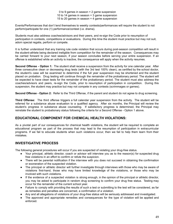0 to 9 games in season = 2 game suspension 10 to 14 games in season = 3 game suspension 15 to 20 games in season = 4 game suspension

Events/Performances that don't lend themselves to weekly contests/performances will require the student to not perform/participate for one (1) performance/contest (i.e. drama).

Students must also address coaches/advisors and their peers, and re-sign the Code prior to resumption of participation in contests, competitions or evaluations. During this time the student must practice but may not suit, adorn special regalia, perform or compete.

It is further understood that any training rule code violation that occurs during post-season competition will result in the student-athlete being declared ineligible from competition for the remainder of the season. Consequences may be carried forward to your next season, if your season concludes before serving your entire suspension. If an offense is established while an activity is inactive, the consequence will apply when the activity resumes.

**Second Offense - Option 1:** The student shall receive a suspension from the activity for one calendar year. After three consecutive clean or decreasing drug tests (with the 3rd test 100% clean), as certified by the school doctor, the student's case will be examined to determine if the full year suspension may be shortened and the student placed on probation. Drug testing will continue through the remainder of the probationary period. The student will be expected to have clean tests for the remainder of the probationary period. The student must also address the coaches/advisors and peers, re-sign the Code, prior to resumption of participation in competition. During this suspension, the student may practice but may not compete in any contests (scrimmages or games).

**Second Offense - Option 2:** Refer to the Third Offense, if the parent and student do not agree to drug screening.

**Third Offense:** The third offense triggers a full calendar year suspension from the activity. The student will be referred for a substance abuse evaluation to a qualified agency. After six months, the Principal will review the student's progress in substance abuse counseling. If satisfactory progress is determined, the Principal may reinstate the student to probationary status following the criteria for a Second Offense - Option 1 above.

#### **EDUCATIONAL COMPONENT FOR CHEMICAL HEALTH VIOLATIONS:**

As a pivotal part of our consequences for chemical health violations, the student will be required to complete an educational program as part of the process that may lead to the resumption of participation in extracurricular programs. If we fail to educate students when such violations occur, then we fail to help them learn from their mistakes.

#### **INVESTIGATIVE PROCESS**

The following general procedures will occur if you are suspected of violating your drug-free status.

- Your principal, athletic director, coach or advisor will interview you as to the reason(s) for suspected drug free violations in an effort to confirm or refute the suspicion.
- There will be parental notification if the interview with you does not succeed in obtaining the confirmation or exoneration of the suspected violation.
- The principal or athletic director will further investigate through interviews with those who may be aware of violations first-hand, those who may have limited knowledge of the violations, or those who may be involved with such violations.
- If the evidence of a suspected violation is strong enough, in the opinion of the principal or athletic director, you may be asked to participate in random drug screening to confirm your drug free status. Testing may occur for the remainder of the current school year.
- Failure to comply with providing the results of such a test or submitting to the test will be considered, as far as remedies and penalties are concerned, a confirmation of a violation.
- Any and all allegations of violations of your drug-free status will be seriously addressed and investigated.
- The approved and appropriate remedies and consequences for the type of violation will be applied and enforced.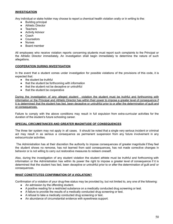#### **INVESTIGATION**

Any individual or stake holder may choose to report a chemical health violation orally or in writing to the:

- **Building principal**
- Athletic Director
- Teachers
- **•** Activity Advisor
- Coach
- Counselors
- Nurses
- Board member

All employees who receive violation reports concerning students must report such complaints to the Principal or the Athletic Director immediately. An investigation shall begin immediately to determine the nature of such allegations.

#### **COOPERATION DURING INVESTIGATION**

In the event that a student comes under investigation for possible violations of the provisions of this code, it is expected that:

- the student be truthful
- that the student be forthcoming with information
- that the student not be deceptive or untruthful
- that the student be cooperative

During the investigation of any alleged student violation the student must be truthful and forthcoming with information or the Principal and Athletic Director has within their power to impose a greater level of consequence if it is determined that the student has lied, been deceptive or untruthful prior to or after the determination of guilt and or consequences.

Failure to comply with the above conditions may result in full expulsion from extra-curricular activities for the duration of the student's future schooling career.

#### **SPECIAL CIRCUMSTANCES AND GREATER MAGNITUDE OF CONSEQUENCES**

The three tier system may not apply in all cases. It should be noted that a single very serious incident or criminal act may result in as serious a consequence as permanent suspension from any future involvement in any extracurricular activities.

The Administration has at their discretion the authority to impose consequences of greater magnitude if they feel the student shows no remorse, has not learned from said consequences, has not made corrective changes in behavior or is not willing to carry out restorative measures to redeem oneself.

Also, during the investigation of any student violation the student athlete must be truthful and forthcoming with information or the Administration has within its power the right to impose a greater level of consequence if it is determined that the student has lied, been deceptive or untruthful prior to or after the determination of guilt and/ or consequences.

#### **WHAT CONSTITUTES CONFIRMATION OF A VIOLATION?**

Confirmation of a violation of your drug-free status may be provided by, but not limited to, any one of the following:

- An admission by the offending student.
- A positive reading for a restricted substance on a medically conducted drug screening or test.
- A failure to provide the results of a medically conducted drug screening or test.
- A refusal to take a medically conducted drug screening or test.
- An abundance of circumstantial evidence with eyewitness support.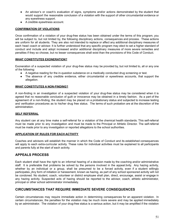- An advisor's or coach's evaluation of signs, symptoms and/or actions demonstrated by the student that would support the reasonable conclusion of a violation with the support of other circumstantial evidence or any eyewitness support.
- A credible eyewitness account.

#### **CONFIRMATION OF VIOLATIONS**

Once confirmation of a violation of your drug-free status has been obtained under the terms of this program, you will be subject to, but not limited by, the following disciplinary actions, consequences and process. These actions are uniform for all students. They are also not intended to replace or affect any additional disciplinary measures of each head coach or advisor. It is further understood that any specific program may elect to set a higher standard of conduct and include and adopt increased and/or additional disciplinary measures of more severe remedies and penalties if they so choose, but no lesser consequences shall exist than the provisions of this Code of Conduct.

#### **WHAT CONSTITUTES EXONERATION?**

Exoneration of a suspected violation of your drug-free status may be provided by, but not limited to, all or any one of the following:

- A negative reading for the in-question substance on a medically conducted drug screening or test.
- The absence of any credible evidence, either circumstantial or eyewitness accounts, that support the allegation.

#### **WHAT CONSTITUTES A NON-FINDING?**

A non-finding in an investigation of a suspected violation of your drug-free status may be considered when it is agreed that no reasonable conclusion of guilt or innocence may be obtained in a timely fashion. As a part of the agreement of a non-finding, the student may be placed on a probationary status and subjected to increase testing and verification procedures as to his/her drug free status. The terms of such probation are at the discretion of the administration.

#### **SELF REFERRAL**

Any student can at any time make a self-referral for a violation of the chemical health standards. This self-referral must be made prior to any investigation and must be made to the Principal or Athletic Director. The self-referral must be made prior to any investigation or reported allegations to the school authorities.

#### **APPLICATION OF RULES FOR EACH ACTIVITY**

Coaches and advisors will establish the manner in which the Code of Conduct and its established consequences will apply to each extra-curricular activity. These rules for individual activities must be explained to all participants and parents fully at the start of each activity.

#### **APPEALS PROCESS**

Each student shall have the right to an informal hearing of a decision made by the coaching and/or administrative staff. It is preferable that problems be solved by the persons involved in the appeal.tivity. Any hazing activity, whether by an individual or a group, shall be presumed to be a forced activity, even if a student willingly participates. Any form of initiation or harassment, known as hazing, as part of any school sponsored activity will not be condoned. No student, coach, volunteer or district employee shall plan, direct, encourage, assist or engage in any hazing activity. Suspected acts of hazing should be reported to the advisor, coach, athletic administrator, principal or other school administrator immediately.

#### **CIRCUMSTANCES THAT REQUIRE IMMEDIATE SEVERE CONSEQUENCES**

Certain circumstances may require immediate action in determining consequences for an apparent violation. In certain circumstances, the penalties for the violation may be much more severe and may be applied immediately by an administrator. The violation of your drug-free status is a serious action, but it may be amplified if the violation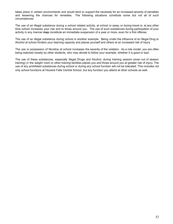takes place in certain environments and would tend to support the necessity for an increased severity of penalties and lessening the chances for remedies. The following situations constitute some but not all of such circumstances:

The use of an illegal substance during a school related activity, at school or away, or during travel or, at any other time school increases your risk and to those around you. The use of such substances during participation of your activity in any manner **may** constitute an immediate suspension of a year or more, even for a first offense.

The use of an illegal substance during school is another example. Being under the influence of an Illegal Drug or Alcohol at school hinders your learning capacity and places yourself and others at an increased risk of injury.

The use or possession of Nicotine at school increases the severity of the violation. As a role model, you are often being watched closely by other students, who may decide to follow your example, whether it is good or bad.

The use of these substances, especially Illegal Drugs and Alcohol, during training session (even out of season training) in the weight room or other training facilities places you and those around you at greater risk of injury. The use of any prohibited substances during school or during any school function will not be tolerated. This includes not only school functions at Hoosick Falls Central School, but any function you attend at other schools as well.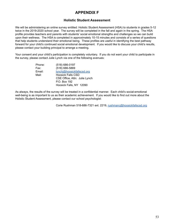## **APPENDIX F**

#### **Holistic Student Assessment**

We will be administering an online survey entitled: Holistic Student Assessment (HSA) to students in grades 5-12 twice in the 2019-2020 school year. The survey will be completed in the fall and again in the spring. The HSA profile provides teachers and parents with students' social emotional strengths and challenges so we can build upon their wellness. The HSA is completed in approximately 10-15 minutes and consists of a series of questions that help students understand their emotional being. These profiles are useful in identifying the best pathway forward for your child's continued social emotional development. If you would like to discuss your child's results, please contact your building principal to arrange a meeting.

Your consent and your child's participation is completely voluntary. If you do not want your child to participate in the survey, please contact Julie Lynch via one of the following avenues:

| Phone: | (518) 686-0197                |
|--------|-------------------------------|
| Fax:   | (518) 686-5869                |
| Email: | lynchi@hoosickfallscsd.org    |
| Mail:  | <b>Hoosick Falls CSD</b>      |
|        | CSE Office, Attn: Julie Lynch |
|        | P.O. Box 192                  |
|        | Hoosick Falls, NY 12090       |
|        |                               |

As always, the results of the survey will be treated in a confidential manner. Each child's social-emotional well-being is as important to us as their academic achievement. If you would like to find out more about the Holistic Student Assessment, please contact our school psychologist:

Corie Rushman 518-686-7321 ext. 2219, [rushmanc@hoosickfallscsd.org](mailto:rushmanc@hoosickfallscsd.org)